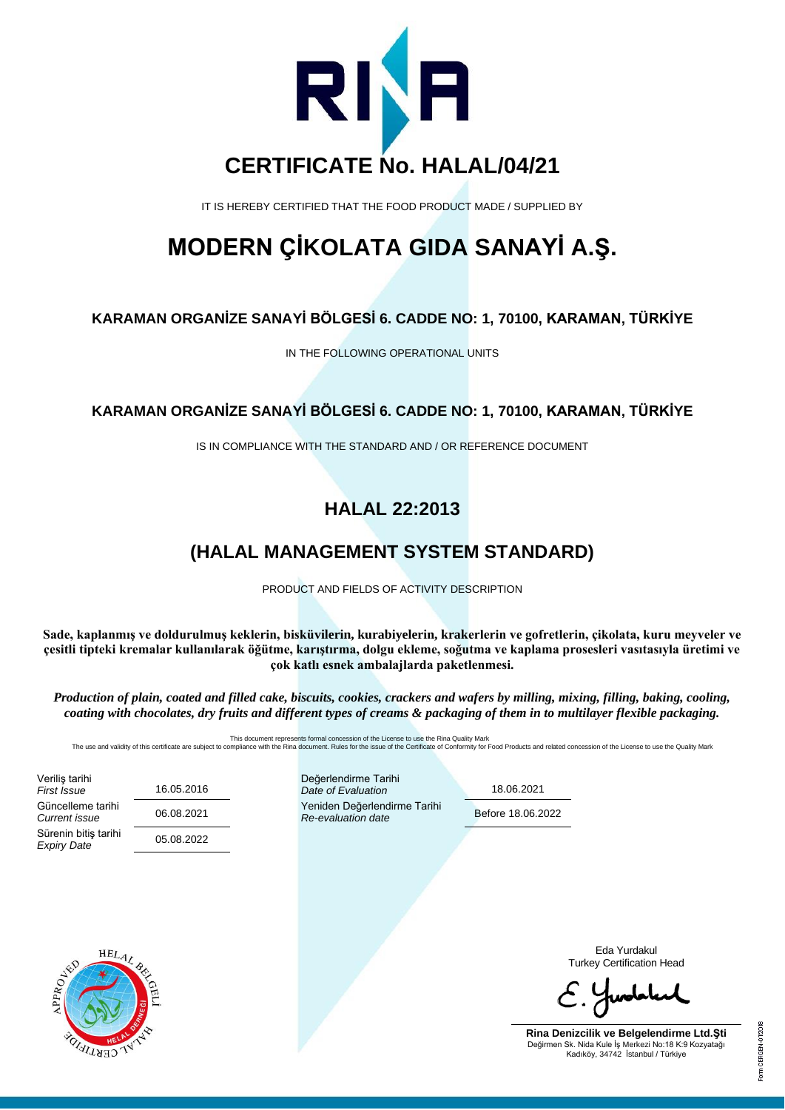

IT IS HEREBY CERTIFIED THAT THE FOOD PRODUCT MADE / SUPPLIED BY

## **MODERN ÇİKOLATA GIDA SANAYİ A.Ş.**

#### **KARAMAN ORGANİZE SANAYİ BÖLGESİ 6. CADDE NO: 1, 70100, KARAMAN, TÜRKİYE**

IN THE FOLLOWING OPERATIONAL UNITS

#### **KARAMAN ORGANİZE SANAYİ BÖLGESİ 6. CADDE NO: 1, 70100, KARAMAN, TÜRKİYE**

IS IN COMPLIANCE WITH THE STANDARD AND / OR REFERENCE DOCUMENT

### **HALAL 22:2013**

### **(HALAL MANAGEMENT SYSTEM STANDARD)**

PRODUCT AND FIELDS OF ACTIVITY DESCRIPTION

**Sade, kaplanmış ve doldurulmuş keklerin, bisküvilerin, kurabiyelerin, krakerlerin ve gofretlerin, çikolata, kuru meyveler ve çesitli tipteki kremalar kullanılarak öğütme, karıştırma, dolgu ekleme, soğutma ve kaplama prosesleri vasıtasıyla üretimi ve çok katlı esnek ambalajlarda paketlenmesi.**

*Production of plain, coated and filled cake, biscuits, cookies, crackers and wafers by milling, mixing, filling, baking, cooling, coating with chocolates, dry fruits and different types of creams & packaging of them in to multilayer flexible packaging.*

The use and validity of this certificate are subject to compent represents formal concession of the License to use the Rina aQuality Mark<br>The use and validity of this certificate are subject to compliance with the Rina doc

Veriliş tarihi *First Issue* 16.05.2016 Güncelleme tarihi<br>Current issue Sürenin bitiş tarihi *Expiry Date* 05.08.2022

Değerlendirme Tarihi *Date of Evaluation* 18.06.2021 **Current issue issue de version de Veniden Değerlendirme Tarihi**<br>
Pe oveluation date **Re-evaluation date Re-evaluation date** 

 $\overline{a}$ 



Eda Yurdakul Turkey Certification Head

**Rina Denizcilik ve Belgelendirme Ltd.Şti** Değirmen Sk. Nida Kule İş Merkezi No:18 K:9 Kozyatağı Kadıköy, 34742 İstanbul / Türkiye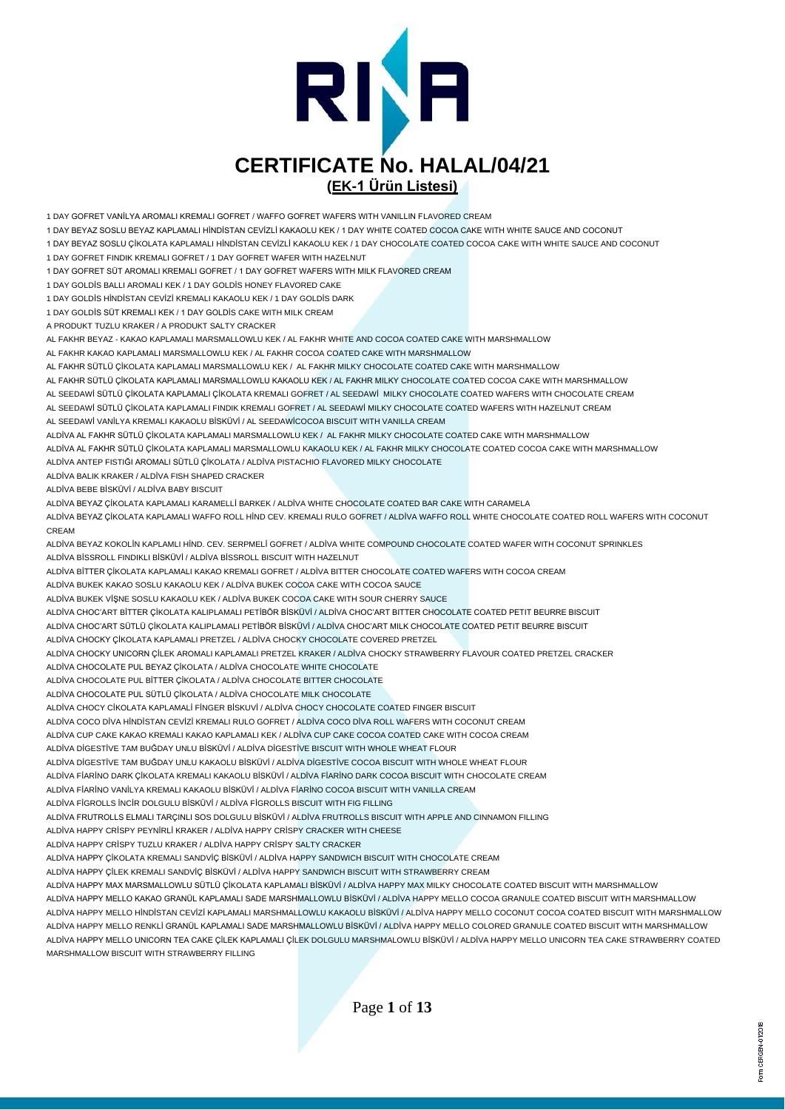

1 DAY GOFRET VANİLYA AROMALI KREMALI GOFRET / WAFFO GOFRET WAFERS WITH VANILLIN FLAVORED CREAM

1 DAY BEYAZ SOSLU BEYAZ KAPLAMALI HİNDİSTAN CEVİZLİ KAKAOLU KEK / 1 DAY WHITE COATED COCOA CAKE WITH WHITE SAUCE AND COCONUT

1 DAY BEYAZ SOSLU ÇİKOLATA KAPLAMALI HİNDİSTAN CEVİZLİ KAKAOLU KEK / 1 DAY CHOCOLATE COATED COCOA CAKE WITH WHITE SAUCE AND COCONUT

1 DAY GOFRET FINDIK KREMALI GOFRET / 1 DAY GOFRET WAFER WITH HAZELNUT

1 DAY GOFRET SÜT AROMALI KREMALI GOFRET / 1 DAY GOFRET WAFERS WITH MILK FLAVORED CREAM

1 DAY GOLDİS BALLI AROMALI KEK / 1 DAY GOLDİS HONEY FLAVORED CAKE

1 DAY GOLDİS HİNDİSTAN CEVİZİ KREMALI KAKAOLU KEK / 1 DAY GOLDİS DARK

1 DAY GOLDİS SÜT KREMALI KEK / 1 DAY GOLDİS CAKE WITH MILK CREAM

A PRODUKT TUZLU KRAKER / A PRODUKT SALTY CRACKER

AL FAKHR BEYAZ - KAKAO KAPLAMALI MARSMALLOWLU KEK / AL FAKHR WHITE AND COCOA COATED CAKE WITH MARSHMALLOW

AL FAKHR KAKAO KAPLAMALI MARSMALLOWLU KEK / AL FAKHR COCOA COATED CAKE WITH MARSHMALLOW

AL FAKHR SÜTLÜ ÇİKOLATA KAPLAMALI MARSMALLOWLU KEK / AL FAKHR MILKY CHOCOLATE COATED CAKE WITH MARSHMALLOW

AL FAKHR SÜTLÜ ÇİKOLATA KAPLAMALI MARSMALLOWLU KAKAOLU KEK / AL FAKHR MILKY CHOCOLATE COATED COCOA CAKE WITH MARSHMALLOW

AL SEEDAWİ SÜTLÜ ÇİKOLATA KAPLAMALI ÇİKOLATA KREMALI GOFRET / AL SEEDAWİ MILKY CHOCOLATE COATED WAFERS WITH CHOCOLATE CREAM

AL SEEDAWİ SÜTLÜ ÇİKOLATA KAPLAMALI FINDIK KREMALI GOFRET / AL SEEDAWİ MILKY CHOCOLATE COATED WAFERS WITH HAZELNUT CREAM AL SEEDAWİ VANİLYA KREMALI KAKAOLU BİSKÜVİ / AL SEEDAWİCOCOA BISCUIT WITH VANILLA CREAM

ALDİVA AL FAKHR SÜTLÜ ÇİKOLATA KAPLAMALI MARSMALLOWLU KEK / AL FAKHR MILKY CHOCOLATE COATED CAKE WITH MARSHMALLOW

ALDİVA AL FAKHR SÜTLÜ ÇİKOLATA KAPLAMALI MARSMALLOWLU KAKAOLU KEK / AL FAKHR MILKY CHOCOLATE COATED COCOA CAKE WITH MARSHMALLOW ALDİVA ANTEP FISTIĞI AROMALI SÜTLÜ ÇİKOLATA / ALDİVA PISTACHIO FLAVORED MILKY CHOCOLATE

ALDİVA BALIK KRAKER / ALDİVA FISH SHAPED CRACKER

ALDİVA BEBE BİSKÜVİ / ALDİVA BABY BISCUIT

ALDİVA BEYAZ ÇİKOLATA KAPLAMALI KARAMELLİ BARKEK / ALDİVA WHITE CHOCOLATE COATED BAR CAKE WITH CARAMELA

ALDİVA BEYAZ ÇİKOLATA KAPLAMALI WAFFO ROLL HİND CEV. KREMALI RULO GOFRET / ALDİVA WAFFO ROLL WHITE CHOCOLATE COATED ROLL WAFERS WITH COCONUT CREAM

ALDİVA BEYAZ KOKOLİN KAPLAMLI HİND. CEV. SERPMELİ GOFRET / ALDİVA WHITE COMPOUND CHOCOLATE COATED WAFER WITH COCONUT SPRINKLES ALDİVA BİSSROLL FINDIKLI BİSKÜVİ / ALDİVA BİSSROLL BISCUIT WITH HAZELNUT

ALDİVA BİTTER ÇİKOLATA KAPLAMALI KAKAO KREMALI GOFRET / ALDİVA BITTER CHOCOLATE COATED WAFERS WITH COCOA CREAM

ALDİVA BUKEK KAKAO SOSLU KAKAOLU KEK / ALDİVA BUKEK COCOA CAKE WITH COCOA SAUCE

ALDİVA BUKEK VİŞNE SOSLU KAKAOLU KEK / ALDİVA BUKEK COCOA CAKE WITH SOUR CHERRY SAUCE

ALDİVA CHOC'ART BİTTER ÇİKOLATA KALIPLAMALI PETİBÖR BİSKÜVİ / ALDİVA CHOC'ART BITTER CHOCOLATE COATED PETIT BEURRE BISCUIT

ALDİVA CHOC'ART SÜTLÜ ÇİKOLATA KALIPLAMALI PETİBÖR BİSKÜVİ / ALDİVA CHOC'ART MILK CHOCOLATE COATED PETIT BEURRE BISCUIT

ALDİVA CHOCKY ÇİKOLATA KAPLAMALI PRETZEL / ALDİVA CHOCKY CHOCOLATE COVERED PRETZEL

ALDİVA CHOCKY UNICORN ÇİLEK AROMALI KAPLAMALI PRETZEL KRAKER / ALDİVA CHOCKY STRAWBERRY FLAVOUR COATED PRETZEL CRACKER

ALDİVA CHOCOLATE PUL BEYAZ ÇİKOLATA / ALDİVA CHOCOLATE WHITE CHOCOLATE

ALDİVA CHOCOLATE PUL BİTTER ÇİKOLATA / ALDİVA CHOCOLATE BITTER CHOCOLATE

ALDİVA CHOCOLATE PUL SÜTLÜ ÇİKOLATA / ALDİVA CHOCOLATE MILK CHOCOLATE

ALDİVA CHOCY CİKOLATA KAPLAMALİ FİNGER BİSKUVİ / ALDİVA CHOCY CHOCOLATE COATED FINGER BISCUIT

ALDİVA COCO DİVA HİNDİSTAN CEVİZİ KREMALI RULO GOFRET / ALDİVA COCO DİVA ROLL WAFERS WITH COCONUT CREAM

ALDİVA CUP CAKE KAKAO KREMALI KAKAO KAPLAMALI KEK / ALDİVA CUP CAKE COCOA COATED CAKE WITH COCOA CREAM

ALDİVA DİGESTİVE TAM BUĞDAY UNLU BİSKÜVİ / ALDİVA DİGESTİVE BISCUIT WITH WHOLE WHEAT FLOUR

ALDİVA DİGESTİVE TAM BUĞDAY UNLU KAKAOLU BİSKÜVİ / ALDİVA DİGESTİVE COCOA BISCUIT WITH WHOLE WHEAT FLOUR

ALDİVA FİARİNO DARK ÇİKOLATA KREMALI KAKAOLU BİSKÜVİ / ALDİVA FİARİNO DARK COCOA BISCUIT WITH CHOCOLATE CREAM

ALDİVA FİARİNO VANİLYA KREMALI KAKAOLU BİSKÜVİ / ALDİVA FİARİNO COCOA BISCUIT WITH VANILLA CREAM

ALDİVA FİGROLLS İNCİR DOLGULU BİSKÜVİ / ALDİVA FİGROLLS BISCUIT WITH FIG FILLING

ALDİVA FRUTROLLS ELMALI TARÇINLI SOS DOLGULU BİSKÜVİ / ALDİVA FRUTROLLS BISCUIT WITH APPLE AND CINNAMON FILLING

ALDİVA HAPPY CRİSPY PEYNİRLİ KRAKER / ALDİVA HAPPY CRİSPY CRACKER WITH CHEESE

ALDİVA HAPPY CRİSPY TUZLU KRAKER / ALDİVA HAPPY CRİSPY SALTY CRACKER

ALDİVA HAPPY ÇİKOLATA KREMALI SANDVİÇ BİSKÜVİ / ALDİVA HAPPY SANDWICH BISCUIT WITH CHOCOLATE CREAM

ALDİVA HAPPY ÇİLEK KREMALI SANDVİÇ BİSKÜVİ / ALDİVA HAPPY SANDWICH BISCUIT WITH STRAWBERRY CREAM

ALDİVA HAPPY MAX MARSMALLOWLU SÜTLÜ ÇİKOLATA KAPLAMALI BİSKÜVİ / ALDİVA HAPPY MAX MILKY CHOCOLATE COATED BISCUIT WITH MARSHMALLOW

ALDİVA HAPPY MELLO KAKAO GRANÜL KAPLAMALI SADE MARSHMALLOWLU BİSKÜVİ / ALDİVA HAPPY MELLO COCOA GRANULE COATED BISCUIT WITH MARSHMALLOW ALDİVA HAPPY MELLO HİNDİSTAN CEVİZİ KAPLAMALI MARSHMALLOWLU KAKAOLU BİSKÜVİ / ALDİVA HAPPY MELLO COCONUT COCOA COATED BISCUIT WITH MARSHMALLOW ALDİVA HAPPY MELLO RENKLİ GRANÜL KAPLAMALI SADE MARSHMALLOWLU BİSKÜVİ / ALDİVA HAPPY MELLO COLORED GRANULE COATED BISCUIT WITH MARSHMALLOW ALDİVA HAPPY MELLO UNICORN TEA CAKE ÇİLEK KAPLAMALI ÇİLEK DOLGULU MARSHMALOWLU BİSKÜVİ / ALDİVA HAPPY MELLO UNICORN TEA CAKE STRAWBERRY COATED MARSHMALLOW BISCUIT WITH STRAWBERRY FILLING

Page **1** of **13**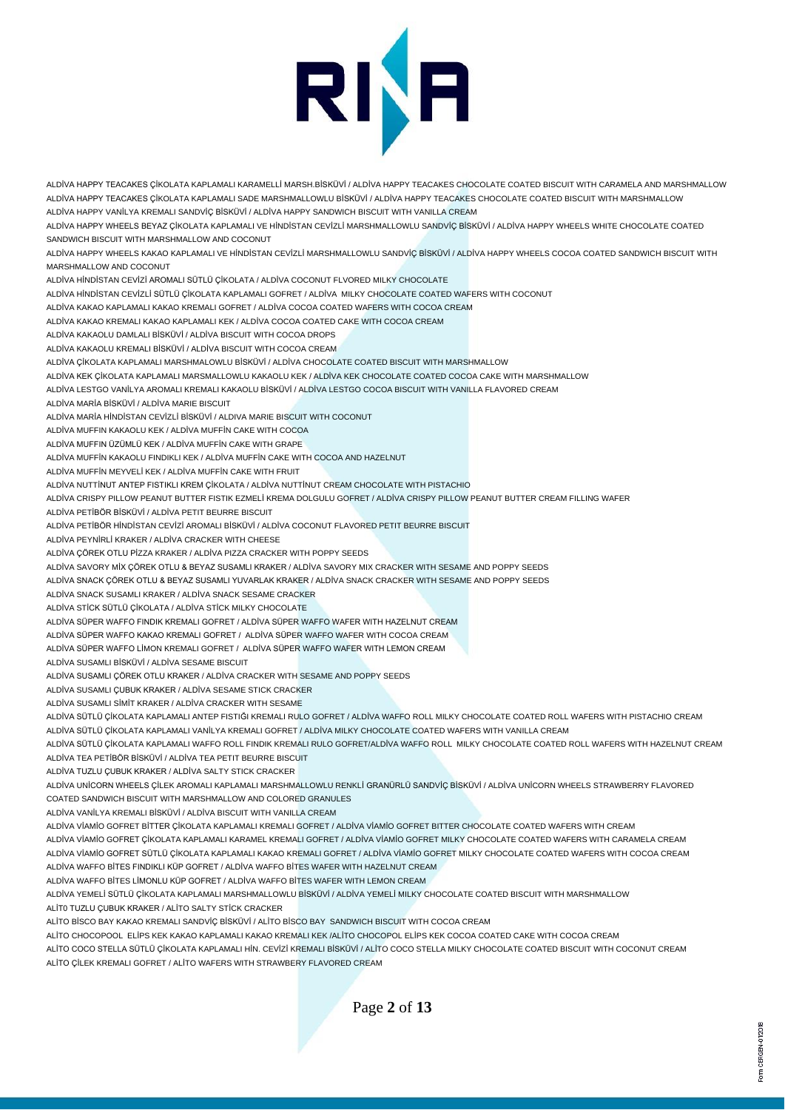

ALDİVA HAPPY TEACAKES ÇİKOLATA KAPLAMALI KARAMELLİ MARSH.BİSKÜVİ / ALDİVA HAPPY TEACAKES CHOCOLATE COATED BISCUIT WITH CARAMELA AND MARSHMALLOW ALDİVA HAPPY TEACAKES ÇİKOLATA KAPLAMALI SADE MARSHMALLOWLU BİSKÜVİ / ALDİVA HAPPY TEACAKES CHOCOLATE COATED BISCUIT WITH MARSHMALLOW ALDİVA HAPPY VANİLYA KREMALI SANDVİÇ BİSKÜVİ / ALDİVA HAPPY SANDWICH BISCUIT WITH VANILLA CREAM ALDİVA HAPPY WHEELS BEYAZ ÇİKOLATA KAPLAMALI VE HİNDİSTAN CEVİZLİ MARSHMALLOWLU SANDVİÇ BİSKÜVİ / ALDİVA HAPPY WHEELS WHITE CHOCOLATE COATED SANDWICH BISCUIT WITH MARSHMALLOW AND COCONUT ALDİVA HAPPY WHEELS KAKAO KAPLAMALI VE HİNDİSTAN CEVİZLİ MARSHMALLOWLU SANDVİÇ BİSKÜVİ / ALDİVA HAPPY WHEELS COCOA COATED SANDWICH BISCUIT WITH MARSHMALLOW AND COCONUT ALDİVA HİNDİSTAN CEVİZİ AROMALI SÜTLÜ ÇİKOLATA / ALDİVA COCONUT FLVORED MILKY CHOCOLATE ALDİVA HİNDİSTAN CEVİZLİ SÜTLÜ ÇİKOLATA KAPLAMALI GOFRET / ALDİVA MILKY CHOCOLATE COATED WAFERS WITH COCONUT ALDİVA KAKAO KAPLAMALI KAKAO KREMALI GOFRET / ALDİVA COCOA COATED WAFERS WITH COCOA CREAM ALDİVA KAKAO KREMALI KAKAO KAPLAMALI KEK / ALDİVA COCOA COATED CAKE WITH COCOA CREAM ALDİVA KAKAOLU DAMLALI BİSKÜVİ / ALDİVA BISCUIT WITH COCOA DROPS ALDİVA KAKAOLU KREMALI BİSKÜVİ / ALDİVA BISCUIT WITH COCOA CREAM ALDİVA ÇİKOLATA KAPLAMALI MARSHMALOWLU BİSKÜVİ / ALDİVA CHOCOLATE COATED BISCUIT WITH MARSHMALLOW ALDİVA KEK ÇİKOLATA KAPLAMALI MARSMALLOWLU KAKAOLU KEK / ALDİVA KEK CHOCOLATE COATED COCOA CAKE WITH MARSHMALLOW ALDİVA LESTGO VANİLYA AROMALI KREMALI KAKAOLU BİSKÜVİ / ALDİVA LESTGO COCOA BISCUIT WITH VANILLA FLAVORED CREAM ALDİVA MARİA BİSKÜVİ / ALDİVA MARIE BISCUIT ALDİVA MARİA HİNDİSTAN CEVİZLİ BİSKÜVİ / ALDIVA MARIE BISCUIT WITH COCONUT ALDİVA MUFFIN KAKAOLU KEK / ALDİVA MUFFİN CAKE WITH COCOA ALDİVA MUFFIN ÜZÜMLÜ KEK / ALDİVA MUFFİN CAKE WITH GRAPE ALDİVA MUFFİN KAKAOLU FINDIKLI KEK / ALDİVA MUFFİN CAKE WITH COCOA AND HAZELNUT ALDİVA MUFFİN MEYVELİ KEK / ALDİVA MUFFİN CAKE WITH FRUIT ALDİVA NUTTİNUT ANTEP FISTIKLI KREM ÇİKOLATA / ALDİVA NUTTİNUT CREAM CHOCOLATE WITH PISTACHIO ALDİVA CRISPY PILLOW PEANUT BUTTER FISTIK EZMELİ KREMA DOLGULU GOFRET / ALDİVA CRISPY PILLOW PEANUT BUTTER CREAM FILLING WAFER ALDİVA PETİBÖR BİSKÜVİ / ALDİVA PETIT BEURRE BISCUIT ALDİVA PETİBÖR HİNDİSTAN CEVİZİ AROMALI BİSKÜVİ / ALDİVA COCONUT FLAVORED PETIT BEURRE BISCUIT ALDİVA PEYNİRLİ KRAKER / ALDİVA CRACKER WITH CHEESE ALDİVA ÇÖREK OTLU PİZZA KRAKER / ALDİVA PIZZA CRACKER WITH POPPY SEEDS ALDİVA SAVORY MİX ÇÖREK OTLU & BEYAZ SUSAMLI KRAKER / ALDİVA SAVORY MIX CRACKER WITH SESAME AND POPPY SEEDS ALDİVA SNACK ÇÖREK OTLU & BEYAZ SUSAMLI YUVARLAK KRAKER / ALDİVA SNACK CRACKER WITH SESAME AND POPPY SEEDS ALDİVA SNACK SUSAMLI KRAKER / ALDİVA SNACK SESAME CRACKER ALDİVA STİCK SÜTLÜ ÇİKOLATA / ALDİVA STİCK MILKY CHOCOLATE ALDİVA SÜPER WAFFO FINDIK KREMALI GOFRET / ALDİVA SÜPER WAFFO WAFER WITH HAZELNUT CREAM ALDİVA SÜPER WAFFO KAKAO KREMALI GOFRET / ALDİVA SÜPER WAFFO WAFER WITH COCOA CREAM ALDİVA SÜPER WAFFO LİMON KREMALI GOFRET / ALDİVA SÜPER WAFFO WAFER WITH LEMON CREAM ALDİVA SUSAMLI BİSKÜVİ / ALDİVA SESAME BISCUIT ALDİVA SUSAMLI ÇÖREK OTLU KRAKER / ALDİVA CRACKER WITH SESAME AND POPPY SEEDS ALDİVA SUSAMLI ÇUBUK KRAKER / ALDİVA SESAME STICK CRACKER ALDİVA SUSAMLI SİMİT KRAKER / ALDİVA CRACKER WITH SESAME ALDİVA SÜTLÜ ÇİKOLATA KAPLAMALI ANTEP FISTIĞI KREMALI RULO GOFRET / ALDİVA WAFFO ROLL MILKY CHOCOLATE COATED ROLL WAFERS WITH PISTACHIO CREAM ALDİVA SÜTLÜ ÇİKOLATA KAPLAMALI VANİLYA KREMALI GOFRET / ALDİVA MILKY CHOCOLATE COATED WAFERS WITH VANILLA CREAM ALDİVA SÜTLÜ ÇİKOLATA KAPLAMALI WAFFO ROLL FINDIK KREMALI RULO GOFRET/ALDİVA WAFFO ROLL MILKY CHOCOLATE COATED ROLL WAFERS WITH HAZELNUT CREAM ALDİVA TEA PETİBÖR BİSKÜVİ / ALDİVA TEA PETIT BEURRE BISCUIT ALDİVA TUZLU ÇUBUK KRAKER / ALDİVA SALTY STICK CRACKER ALDİVA UNİCORN WHEELS ÇİLEK AROMALI KAPLAMALI MARSHMALLOWLU RENKLİ GRANÜRLÜ SANDVİÇ BİSKÜVİ / ALDİVA UNİCORN WHEELS STRAWBERRY FLAVORED COATED SANDWICH BISCUIT WITH MARSHMALLOW AND COLORED GRANULES ALDİVA VANİLYA KREMALI BİSKÜVİ / ALDİVA BISCUIT WITH VANILLA CREAM ALDİVA VİAMİO GOFRET BİTTER ÇİKOLATA KAPLAMALI KREMALI GOFRET / ALDİVA VİAMİO GOFRET BITTER CHOCOLATE COATED WAFERS WITH CREAM ALDİVA VİAMİO GOFRET ÇİKOLATA KAPLAMALI KARAMEL KREMALI GOFRET / ALDİVA VİAMİO GOFRET MILKY CHOCOLATE COATED WAFERS WITH CARAMELA CREAM ALDİVA VİAMİO GOFRET SÜTLÜ ÇİKOLATA KAPLAMALI KAKAO KREMALI GOFRET / ALDİVA VİAMİO GOFRET MILKY CHOCOLATE COATED WAFERS WITH COCOA CREAM ALDİVA WAFFO BİTES FINDIKLI KÜP GOFRET / ALDİVA WAFFO BİTES WAFER WITH HAZELNUT CREAM ALDİVA WAFFO BİTES LİMONLU KÜP GOFRET / ALDİVA WAFFO BİTES WAFER WITH LEMON CREAM ALDİVA YEMELİ SÜTLÜ ÇİKOLATA KAPLAMALI MARSHMALLOWLU BİSKÜVİ / ALDİVA YEMELİ MILKY CHOCOLATE COATED BISCUIT WITH MARSHMALLOW ALİT0 TUZLU ÇUBUK KRAKER / ALİTO SALTY STİCK CRACKER ALİTO BİSCO BAY KAKAO KREMALI SANDVİÇ BİSKÜVİ / ALİTO BİSCO BAY SANDWICH BISCUIT WITH COCOA CREAM ALİTO CHOCOPOOL ELİPS KEK KAKAO KAPLAMALI KAKAO KREMALI KEK /ALİTO CHOCOPOL ELİPS KEK COCOA COATED CAKE WITH COCOA CREAM

ALİTO COCO STELLA SÜTLÜ ÇİKOLATA KAPLAMALI HİN. CEVİZİ KREMALI BİSKÜVİ / ALİTO COCO STELLA MILKY CHOCOLATE COATED BISCUIT WITH COCONUT CREAM ALİTO ÇİLEK KREMALI GOFRET / ALİTO WAFERS WITH STRAWBERY FLAVORED CREAM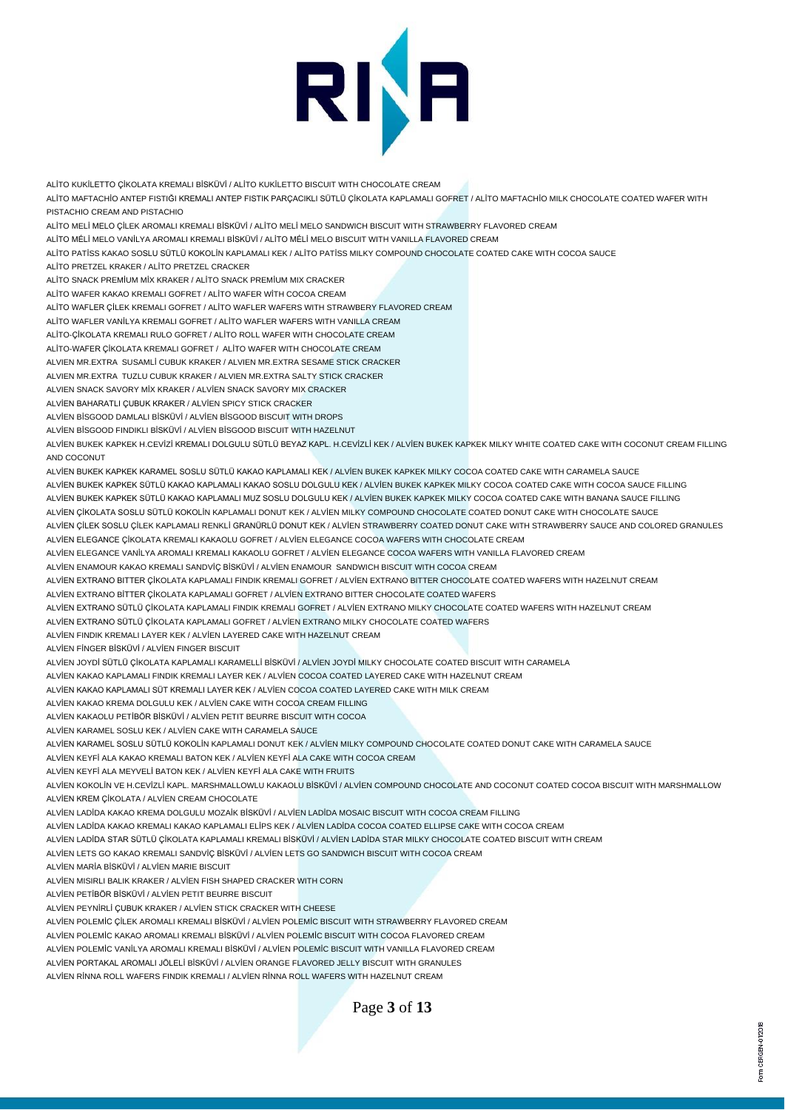

ALİTO KUKİLETTO ÇİKOLATA KREMALI BİSKÜVİ / ALİTO KUKİLETTO BISCUIT WITH CHOCOLATE CREAM ALİTO MAFTACHİO ANTEP FISTIĞI KREMALI ANTEP FISTIK PARÇACIKLI SÜTLÜ ÇİKOLATA KAPLAMALI GOFRET / ALİTO MAFTACHİO MILK CHOCOLATE COATED WAFER WITH PISTACHIO CREAM AND PISTACHIO ALİTO MELİ MELO ÇİLEK AROMALI KREMALI BİSKÜVİ / ALİTO MELİ MELO SANDWICH BISCUIT WITH STRAWBERRY FLAVORED CREAM ALİTO MÉLİ MELO VANİLYA AROMALI KREMALI BİSKÜVİ / ALİTO MÉLİ MELO BISCUIT WITH VANILLA FLAVORED CREAM ALİTO PATİSS KAKAO SOSLU SÜTLÜ KOKOLİN KAPLAMALI KEK / ALİTO PATİSS MILKY COMPOUND CHOCOLATE COATED CAKE WITH COCOA SAUCE ALİTO PRETZEL KRAKER / ALİTO PRETZEL CRACKER ALİTO SNACK PREMİUM MİX KRAKER / ALİTO SNACK PREMİUM MIX CRACKER ALİTO WAFER KAKAO KREMALI GOFRET / ALİTO WAFER WİTH COCOA CREAM ALİTO WAFLER ÇİLEK KREMALI GOFRET / ALİTO WAFLER WAFERS WITH STRAWBERY FLAVORED CREAM ALİTO WAFLER VANİLYA KREMALI GOFRET / ALİTO WAFLER WAFERS WITH VANILLA CREAM ALİTO-ÇİKOLATA KREMALI RULO GOFRET / ALİTO ROLL WAFER WITH CHOCOLATE CREAM ALİTO-WAFER ÇİKOLATA KREMALI GOFRET / ALİTO WAFER WITH CHOCOLATE CREAM ALVIEN MR.EXTRA SUSAMLİ CUBUK KRAKER / ALVIEN MR.EXTRA SESAME STICK CRACKER ALVIEN MR.EXTRA TUZLU CUBUK KRAKER / ALVIEN MR.EXTRA SALTY STICK CRACKER ALVIEN SNACK SAVORY MİX KRAKER / ALVİEN SNACK SAVORY MIX CRACKER ALVİEN BAHARATLI ÇUBUK KRAKER / ALVİEN SPICY STICK CRACKER ALVİEN BİSGOOD DAMLALI BİSKÜVİ / ALVİEN BİSGOOD BISCUIT WITH DROPS ALVİEN BİSGOOD FINDIKLI BİSKÜVİ / ALVİEN BİSGOOD BISCUIT WITH HAZELNUT ALVİEN BUKEK KAPKEK H.CEVİZİ KREMALI DOLGULU SÜTLÜ BEYAZ KAPL. H.CEVİZLİ KEK / ALVİEN BUKEK KAPKEK MILKY WHITE COATED CAKE WITH COCONUT CREAM FILLING AND COCONUT ALVİEN BUKEK KAPKEK KARAMEL SOSLU SÜTLÜ KAKAO KAPLAMALI KEK / ALVİEN BUKEK KAPKEK MILKY COCOA COATED CAKE WITH CARAMELA SAUCE ALVİEN BUKEK KAPKEK SÜTLÜ KAKAO KAPLAMALI KAKAO SOSLU DOLGULU KEK / ALVİEN BUKEK KAPKEK MILKY COCOA COATED CAKE WITH COCOA SAUCE FILLING ALVİEN BUKEK KAPKEK SÜTLÜ KAKAO KAPLAMALI MUZ SOSLU DOLGULU KEK / ALVİEN BUKEK KAPKEK MILKY COCOA COATED CAKE WITH BANANA SAUCE FILLING ALVİEN ÇİKOLATA SOSLU SÜTLÜ KOKOLİN KAPLAMALI DONUT KEK / ALVİEN MILKY COMPOUND CHOCOLATE COATED DONUT CAKE WITH CHOCOLATE SAUCE ALVİEN ÇİLEK SOSLU ÇİLEK KAPLAMALI RENKLİ GRANÜRLÜ DONUT KEK / ALVİEN STRAWBERRY COATED DONUT CAKE WITH STRAWBERRY SAUCE AND COLORED GRANULES ALVİEN ELEGANCE ÇİKOLATA KREMALI KAKAOLU GOFRET / ALVİEN ELEGANCE COCOA WAFERS WITH CHOCOLATE CREAM ALVİEN ELEGANCE VANİLYA AROMALI KREMALI KAKAOLU GOFRET / ALVİEN ELEGANCE COCOA WAFERS WITH VANILLA FLAVORED CREAM ALVİEN ENAMOUR KAKAO KREMALI SANDVİÇ BİSKÜVİ / ALVİEN ENAMOUR SANDWICH BISCUIT WITH COCOA CREAM ALVİEN EXTRANO BITTER ÇİKOLATA KAPLAMALI FINDIK KREMALI GOFRET / ALVİEN EXTRANO BITTER CHOCOLATE COATED WAFERS WITH HAZELNUT CREAM ALVİEN EXTRANO BİTTER ÇİKOLATA KAPLAMALI GOFRET / ALVİEN EXTRANO BITTER CHOCOLATE COATED WAFERS ALVİEN EXTRANO SÜTLÜ ÇİKOLATA KAPLAMALI FINDIK KREMALI GOFRET / ALVİEN EXTRANO MILKY CHOCOLATE COATED WAFERS WITH HAZELNUT CREAM ALVİEN EXTRANO SÜTLÜ ÇİKOLATA KAPLAMALI GOFRET / ALVİEN EXTRANO MILKY CHOCOLATE COATED WAFERS ALVİEN FINDIK KREMALI LAYER KEK / ALVİEN LAYERED CAKE WITH HAZELNUT CREAM ALVİEN FİNGER BİSKÜVİ / ALVİEN FINGER BISCUIT ALVİEN JOYDİ SÜTLÜ ÇİKOLATA KAPLAMALI KARAMELLİ BİSKÜVİ / ALVİEN JOYDİ MILKY CHOCOLATE COATED BISCUIT WITH CARAMELA ALVİEN KAKAO KAPLAMALI FINDIK KREMALI LAYER KEK / ALVİEN COCOA COATED LAYERED CAKE WITH HAZELNUT CREAM ALVİEN KAKAO KAPLAMALI SÜT KREMALI LAYER KEK / ALVİEN COCOA COATED LAYERED CAKE WITH MILK CREAM ALVİEN KAKAO KREMA DOLGULU KEK / ALVİEN CAKE WITH COCOA CREAM FILLING ALVİEN KAKAOLU PETİBÖR BİSKÜVİ / ALVİEN PETIT BEURRE BISCUIT WITH COCOA ALVİEN KARAMEL SOSLU KEK / ALVİEN CAKE WITH CARAMELA SAUCE ALVİEN KARAMEL SOSLU SÜTLÜ KOKOLİN KAPLAMALI DONUT KEK / ALVİEN MILKY COMPOUND CHOCOLATE COATED DONUT CAKE WITH CARAMELA SAUCE ALVİEN KEYFİ ALA KAKAO KREMALI BATON KEK / ALVİEN KEYFİ ALA CAKE WITH COCOA CREAM ALVİEN KEYFİ ALA MEYVELİ BATON KEK / ALVİEN KEYFİ ALA CAKE WITH FRUITS ALVİEN KOKOLİN VE H.CEVİZLİ KAPL. MARSHMALLOWLU KAKAOLU BİSKÜVİ / ALVİEN COMPOUND CHOCOLATE AND COCONUT COATED COCOA BISCUIT WITH MARSHMALLOW ALVİEN KREM ÇİKOLATA / ALVİEN CREAM CHOCOLATE ALVİEN LADİDA KAKAO KREMA DOLGULU MOZAİK BİSKÜVİ / ALVİEN LADİDA MOSAIC BISCUIT WITH COCOA CREAM FILLING ALVİEN LADİDA KAKAO KREMALI KAKAO KAPLAMALI ELİPS KEK / ALVİEN LADİDA COCOA COATED ELLIPSE CAKE WITH COCOA CREAM ALVİEN LADİDA STAR SÜTLÜ ÇİKOLATA KAPLAMALI KREMALI BİSKÜVİ / ALVİEN LADİDA STAR MILKY CHOCOLATE COATED BISCUIT WITH CREAM ALVİEN LETS GO KAKAO KREMALI SANDVİÇ BİSKÜVİ / ALVİEN LETS GO SANDWICH BISCUIT WITH COCOA CREAM ALVİEN MARİA BİSKÜVİ / ALVİEN MARIE BISCUIT ALVİEN MISIRLI BALIK KRAKER / ALVİEN FISH SHAPED CRACKER WITH CORN ALVİEN PETİBÖR BİSKÜVİ / ALVİEN PETIT BEURRE BISCUIT ALVİEN PEYNİRLİ ÇUBUK KRAKER / ALVİEN STICK CRACKER WITH CHEESE ALVİEN POLEMİC ÇİLEK AROMALI KREMALI BİSKÜVİ / ALVİEN POLEMİC BISCUIT WITH STRAWBERRY FLAVORED CREAM ALVİEN POLEMİC KAKAO AROMALI KREMALI BİSKÜVİ / ALVİEN POLEMİC BISCUIT WITH COCOA FLAVORED CREAM ALVİEN POLEMİC VANİLYA AROMALI KREMALI BİSKÜVİ / ALVİEN POLEMİC BISCUIT WITH VANILLA FLAVORED CREAM

ALVİEN PORTAKAL AROMALI JÖLELİ BİSKÜVİ / ALVİEN ORANGE FLAVORED JELLY BISCUIT WITH GRANULES

ALVİEN RİNNA ROLL WAFERS FINDIK KREMALI / ALVİEN RİNNA ROLL WAFERS WITH HAZELNUT CREAM

Page **3** of **13**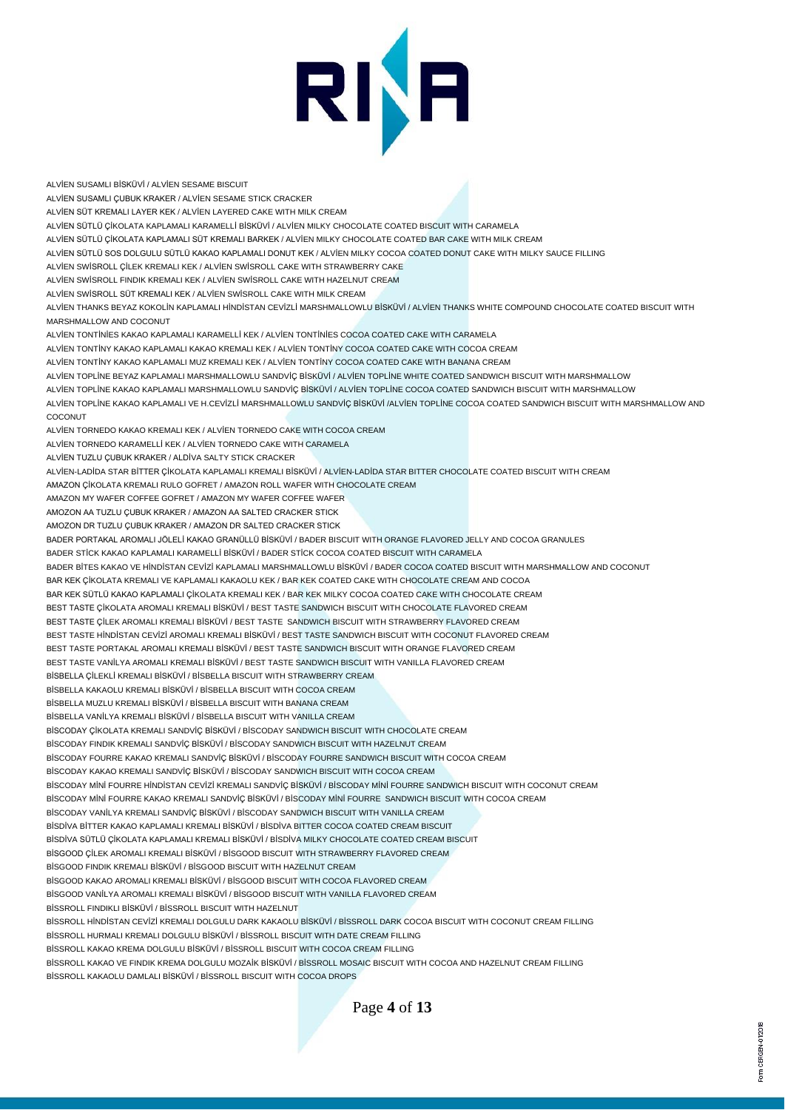# RINA

ALVİEN SUSAMLI BİSKÜVİ / ALVİEN SESAME BISCUIT ALVİEN SUSAMLI ÇUBUK KRAKER / ALVİEN SESAME STICK CRACKER ALVİEN SÜT KREMALI LAYER KEK / ALVİEN LAYERED CAKE WITH MILK CREAM ALVİEN SÜTLÜ ÇİKOLATA KAPLAMALI KARAMELLİ BİSKÜVİ / ALVİEN MILKY CHOCOLATE COATED BISCUIT WITH CARAMELA ALVİEN SÜTLÜ ÇİKOLATA KAPLAMALI SÜT KREMALI BARKEK / ALVİEN MILKY CHOCOLATE COATED BAR CAKE WITH MILK CREAM ALVİEN SÜTLÜ SOS DOLGULU SÜTLÜ KAKAO KAPLAMALI DONUT KEK / ALVİEN MILKY COCOA COATED DONUT CAKE WITH MILKY SAUCE FILLING ALVİEN SWİSROLL ÇİLEK KREMALI KEK / ALVİEN SWİSROLL CAKE WITH STRAWBERRY CAKE ALVİEN SWİSROLL FINDIK KREMALI KEK / ALVİEN SWİSROLL CAKE WITH HAZELNUT CREAM ALVİEN SWİSROLL SÜT KREMALI KEK / ALVİEN SWİSROLL CAKE WITH MILK CREAM ALVİEN THANKS BEYAZ KOKOLİN KAPLAMALI HİNDİSTAN CEVİZLİ MARSHMALLOWLU BİSKÜVİ / ALVİEN THANKS WHITE COMPOUND CHOCOLATE COATED BISCUIT WITH MARSHMALLOW AND COCONUT ALVİEN TONTİNİES KAKAO KAPLAMALI KARAMELLİ KEK / ALVİEN TONTİNİES COCOA COATED CAKE WITH CARAMELA ALVİEN TONTİNY KAKAO KAPLAMALI KAKAO KREMALI KEK / ALVİEN TONTİNY COCOA COATED CAKE WITH COCOA CREAM ALVİEN TONTİNY KAKAO KAPLAMALI MUZ KREMALI KEK / ALVİEN TONTİNY COCOA COATED CAKE WITH BANANA CREAM ALVİEN TOPLİNE BEYAZ KAPLAMALI MARSHMALLOWLU SANDVİÇ BİSKÜVİ / ALVİEN TOPLİNE WHITE COATED SANDWICH BISCUIT WITH MARSHMALLOW ALVİEN TOPLİNE KAKAO KAPLAMALI MARSHMALLOWLU SANDVİÇ BİSKÜVİ / ALVİEN TOPLİNE COCOA COATED SANDWICH BISCUIT WITH MARSHMALLOW ALVİEN TOPLİNE KAKAO KAPLAMALI VE H.CEVİZLİ MARSHMALLOWLU SANDVİÇ BİSKÜVİ /ALVİEN TOPLİNE COCOA COATED SANDWICH BISCUIT WITH MARSHMALLOW AND **COCONLIT** ALVİEN TORNEDO KAKAO KREMALI KEK / ALVİEN TORNEDO CAKE WITH COCOA CREAM ALVİEN TORNEDO KARAMELLİ KEK / ALVİEN TORNEDO CAKE WITH CARAMELA ALVİEN TUZLU ÇUBUK KRAKER / ALDİVA SALTY STICK CRACKER ALVİEN-LADİDA STAR BİTTER ÇİKOLATA KAPLAMALI KREMALI BİSKÜVİ / ALVİEN-LADİDA STAR BITTER CHOCOLATE COATED BISCUIT WITH CREAM AMAZON ÇİKOLATA KREMALI RULO GOFRET / AMAZON ROLL WAFER WITH CHOCOLATE CREAM AMAZON MY WAFER COFFEE GOFRET / AMAZON MY WAFER COFFEE WAFER AMOZON AA TUZLU ÇUBUK KRAKER / AMAZON AA SALTED CRACKER STICK AMOZON DR TUZLU ÇUBUK KRAKER / AMAZON DR SALTED CRACKER STICK BADER PORTAKAL AROMALI JÖLELİ KAKAO GRANÜLLÜ BİSKÜVİ / BADER BISCUIT WITH ORANGE FLAVORED JELLY AND COCOA GRANULES BADER STİCK KAKAO KAPLAMALI KARAMELLİ BİSKÜVİ / BADER STİCK COCOA COATED BISCUIT WITH CARAMELA BADER BİTES KAKAO VE HİNDİSTAN CEVİZİ KAPLAMALI MARSHMALLOWLU BİSKÜVİ / BADER COCOA COATED BISCUIT WITH MARSHMALLOW AND COCONUT BAR KEK ÇİKOLATA KREMALI VE KAPLAMALI KAKAOLU KEK / BAR KEK COATED CAKE WITH CHOCOLATE CREAM AND COCOA BAR KEK SÜTLÜ KAKAO KAPLAMALI ÇİKOLATA KREMALI KEK / BAR KEK MILKY COCOA COATED CAKE WITH CHOCOLATE CREAM BEST TASTE ÇİKOLATA AROMALI KREMALI BİSKÜVİ / BEST TASTE SANDWICH BISCUIT WITH CHOCOLATE FLAVORED CREAM BEST TASTE ÇİLEK AROMALI KREMALI BİSKÜVİ / BEST TASTE SANDWICH BISCUIT WITH STRAWBERRY FLAVORED CREAM BEST TASTE HİNDİSTAN CEVİZİ AROMALI KREMALI BİSKÜVİ / BEST TASTE SANDWICH BISCUIT WITH COCONUT FLAVORED CREAM BEST TASTE PORTAKAL AROMALI KREMALI BİSKÜVİ / BEST TASTE SANDWICH BISCUIT WITH ORANGE FLAVORED CREAM BEST TASTE VANİLYA AROMALI KREMALI BİSKÜVİ / BEST TASTE SANDWICH BISCUIT WITH VANILLA FLAVORED CREAM BİSBELLA ÇİLEKLİ KREMALI BİSKÜVİ / BİSBELLA BISCUIT WITH STRAWBERRY CREAM BİSBELLA KAKAOLU KREMALI BİSKÜVİ / BİSBELLA BISCUIT WITH COCOA CREAM BİSBELLA MUZLU KREMALI BİSKÜVİ / BİSBELLA BISCUIT WITH BANANA CREAM BİSBELLA VANİLYA KREMALI BİSKÜVİ / BİSBELLA BISCUIT WITH VANILLA CREAM BİSCODAY ÇİKOLATA KREMALI SANDVİÇ BİSKÜVİ / BİSCODAY SANDWICH BISCUIT WITH CHOCOLATE CREAM BİSCODAY FINDIK KREMALI SANDVİÇ BİSKÜVİ / BİSCODAY SANDWICH BISCUIT WITH HAZELNUT CREAM BİSCODAY FOURRE KAKAO KREMALI SANDVİÇ BİSKÜVİ / BİSCODAY FOURRE SANDWICH BISCUIT WITH COCOA CREAM BİSCODAY KAKAO KREMALI SANDVİÇ BİSKÜVİ / BİSCODAY SANDWICH BISCUIT WITH COCOA CREAM BİSCODAY MİNİ FOURRE HİNDİSTAN CEVİZİ KREMALI SANDVİÇ BİSKÜVİ / BİSCODAY MİNİ FOURRE SANDWICH BISCUIT WITH COCONUT CREAM BİSCODAY MİNİ FOURRE KAKAO KREMALI SANDVİÇ BİSKÜVİ / BİSCODAY MİNİ FOURRE SANDWICH BISCUIT WITH COCOA CREAM BİSCODAY VANİLYA KREMALI SANDVİÇ BİSKÜVİ / BİSCODAY SANDWICH BISCUIT WITH VANILLA CREAM BİSDİVA BİTTER KAKAO KAPLAMALI KREMALI BİSKÜVİ / BİSDİVA BITTER COCOA COATED CREAM BISCUIT BİSDİVA SÜTLÜ ÇİKOLATA KAPLAMALI KREMALI BİSKÜVİ / BİSDİVA MILKY CHOCOLATE COATED CREAM BISCUIT BİSGOOD ÇİLEK AROMALI KREMALI BİSKÜVİ / BİSGOOD BISCUIT WITH STRAWBERRY FLAVORED CREAM BİSGOOD FINDIK KREMALI BİSKÜVİ / BİSGOOD BISCUIT WITH HAZELNUT CREAM BİSGOOD KAKAO AROMALI KREMALI BİSKÜVİ / BİSGOOD BISCUIT WITH COCOA FLAVORED CREAM BİSGOOD VANİLYA AROMALI KREMALI BİSKÜVİ / BİSGOOD BISCUIT WITH VANILLA FLAVORED CREAM BİSSROLL FINDIKLI BİSKÜVİ / BİSSROLL BISCUIT WITH HAZELNUT BİSSROLL HİNDİSTAN CEVİZİ KREMALI DOLGULU DARK KAKAOLU BİSKÜVİ / BİSSROLL DARK COCOA BISCUIT WITH COCONUT CREAM FILLING BİSSROLL HURMALI KREMALI DOLGULU BİSKÜVİ / BİSSROLL BISCUIT WITH DATE CREAM FILLING BİSSROLL KAKAO KREMA DOLGULU BİSKÜVİ / BİSSROLL BISCUIT WITH COCOA CREAM FILLING BİSSROLL KAKAO VE FINDIK KREMA DOLGULU MOZAİK BİSKÜVİ / BİSSROLL MOSAIC BISCUIT WITH COCOA AND HAZELNUT CREAM FILLING BİSSROLL KAKAOLU DAMLALI BİSKÜVİ / BİSSROLL BISCUIT WITH COCOA DROPS

Page **4** of **13**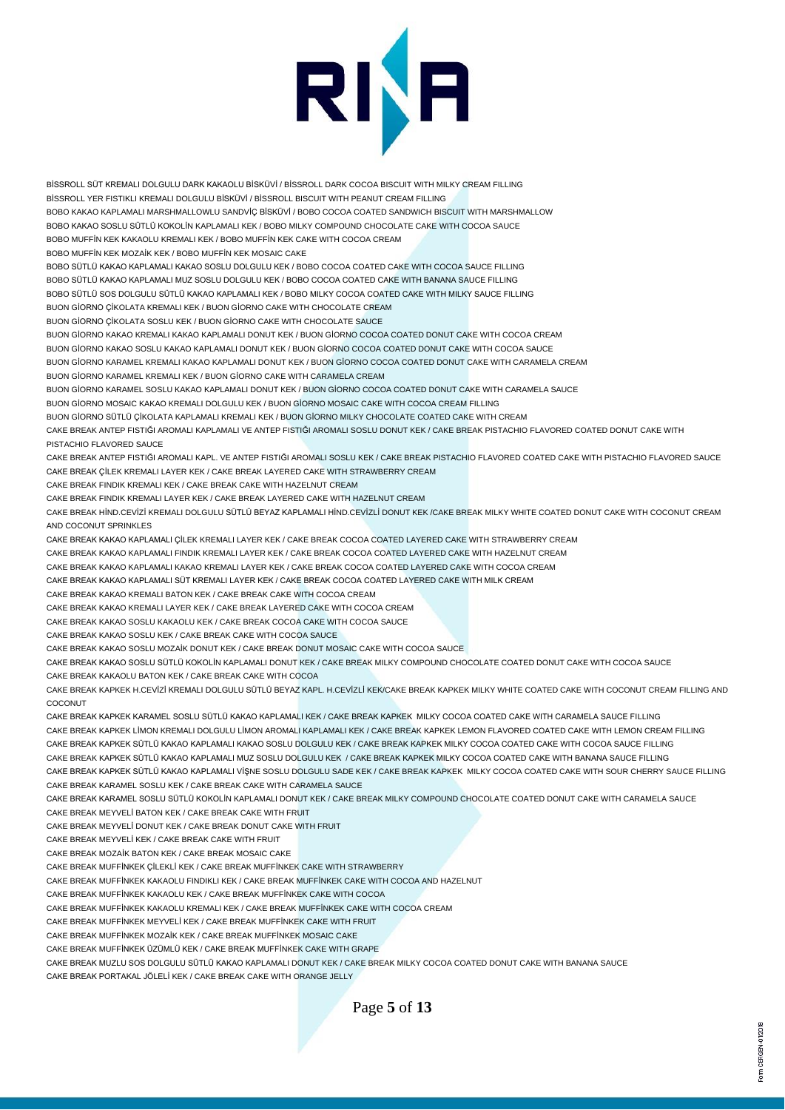

BİSSROLL SÜT KREMALI DOLGULU DARK KAKAOLU BİSKÜVİ / BİSSROLL DARK COCOA BISCUIT WITH MILKY CREAM FILLING BİSSROLL YER FISTIKLI KREMALI DOLGULU BİSKÜVİ / BİSSROLL BISCUIT WITH PEANUT CREAM FILLING BOBO KAKAO KAPLAMALI MARSHMALLOWLU SANDVİÇ BİSKÜVİ / BOBO COCOA COATED SANDWICH BISCUIT WITH MARSHMALLOW BOBO KAKAO SOSLU SÜTLÜ KOKOLİN KAPLAMALI KEK / BOBO MILKY COMPOUND CHOCOLATE CAKE WITH COCOA SAUCE BOBO MUFFİN KEK KAKAOLU KREMALI KEK / BOBO MUFFİN KEK CAKE WITH COCOA CREAM BOBO MUFFİN KEK MOZAİK KEK / BOBO MUFFİN KEK MOSAIC CAKE BOBO SÜTLÜ KAKAO KAPLAMALI KAKAO SOSLU DOLGULU KEK / BOBO COCOA COATED CAKE WITH COCOA SAUCE FILLING BOBO SÜTLÜ KAKAO KAPLAMALI MUZ SOSLU DOLGULU KEK / BOBO COCOA COATED CAKE WITH BANANA SAUCE FILLING BOBO SÜTLÜ SOS DOLGULU SÜTLÜ KAKAO KAPLAMALI KEK / BOBO MILKY COCOA COATED CAKE WITH MILKY SAUCE FILLING BUON GİORNO ÇİKOLATA KREMALI KEK / BUON GİORNO CAKE WITH CHOCOLATE CREAM BUON GİORNO ÇİKOLATA SOSLU KEK / BUON GİORNO CAKE WITH CHOCOLATE SAUCE BUON GİORNO KAKAO KREMALI KAKAO KAPLAMALI DONUT KEK / BUON GİORNO COCOA COATED DONUT CAKE WITH COCOA CREAM BUON GİORNO KAKAO SOSLU KAKAO KAPLAMALI DONUT KEK / BUON GİORNO COCOA COATED DONUT CAKE WITH COCOA SAUCE BUON GİORNO KARAMEL KREMALI KAKAO KAPLAMALI DONUT KEK / BUON GİORNO COCOA COATED DONUT CAKE WITH CARAMELA CREAM BUON GİORNO KARAMEL KREMALI KEK / BUON GİORNO CAKE WITH CARAMELA CREAM BUON GİORNO KARAMEL SOSLU KAKAO KAPLAMALI DONUT KEK / BUON GİORNO COCOA COATED DONUT CAKE WITH CARAMELA SAUCE BUON GİORNO MOSAIC KAKAO KREMALI DOLGULU KEK / BUON GİORNO MOSAIC CAKE WITH COCOA CREAM FILLING BUON GİORNO SÜTLÜ ÇİKOLATA KAPLAMALI KREMALI KEK / BUON GİORNO MILKY CHOCOLATE COATED CAKE WITH CREAM CAKE BREAK ANTEP FISTIĞI AROMALI KAPLAMALI VE ANTEP FISTIĞI AROMALI SOSLU DONUT KEK / CAKE BREAK PISTACHIO FLAVORED COATED DONUT CAKE WITH PISTACHIO FLAVORED SAUCE CAKE BREAK ANTEP FISTIĞI AROMALI KAPL. VE ANTEP FISTIĞI AROMALI SOSLU KEK / CAKE BREAK PISTACHIO FLAVORED COATED CAKE WITH PISTACHIO FLAVORED SAUCE CAKE BREAK ÇİLEK KREMALI LAYER KEK / CAKE BREAK LAYERED CAKE WITH STRAWBERRY CREAM CAKE BREAK FINDIK KREMALI KEK / CAKE BREAK CAKE WITH HAZELNUT CREAM CAKE BREAK FINDIK KREMALI LAYER KEK / CAKE BREAK LAYERED CAKE WITH HAZELNUT CREAM CAKE BREAK HİND.CEVİZİ KREMALI DOLGULU SÜTLÜ BEYAZ KAPLAMALI HİND.CEVİZLİ DONUT KEK /CAKE BREAK MILKY WHITE COATED DONUT CAKE WITH COCONUT CREAM AND COCONUT SPRINKLES CAKE BREAK KAKAO KAPLAMALI ÇİLEK KREMALI LAYER KEK / CAKE BREAK COCOA COATED LAYERED CAKE WITH STRAWBERRY CREAM CAKE BREAK KAKAO KAPLAMALI FINDIK KREMALI LAYER KEK / CAKE BREAK COCOA COATED LAYERED CAKE WITH HAZELNUT CREAM CAKE BREAK KAKAO KAPLAMALI KAKAO KREMALI LAYER KEK / CAKE BREAK COCOA COATED LAYERED CAKE WITH COCOA CREAM CAKE BREAK KAKAO KAPLAMALI SÜT KREMALI LAYER KEK / CAKE BREAK COCOA COATED LAYERED CAKE WITH MILK CREAM CAKE BREAK KAKAO KREMALI BATON KEK / CAKE BREAK CAKE WITH COCOA CREAM CAKE BREAK KAKAO KREMALI LAYER KEK / CAKE BREAK LAYERED CAKE WITH COCOA CREAM CAKE BREAK KAKAO SOSLU KAKAOLU KEK / CAKE BREAK COCOA CAKE WITH COCOA SAUCE CAKE BREAK KAKAO SOSLU KEK / CAKE BREAK CAKE WITH COCOA SAUCE CAKE BREAK KAKAO SOSLU MOZAİK DONUT KEK / CAKE BREAK DONUT MOSAIC CAKE WITH COCOA SAUCE CAKE BREAK KAKAO SOSLU SÜTLÜ KOKOLİN KAPLAMALI DONUT KEK / CAKE BREAK MILKY COMPOUND CHOCOLATE COATED DONUT CAKE WITH COCOA SAUCE CAKE BREAK KAKAOLU BATON KEK / CAKE BREAK CAKE WITH COCOA CAKE BREAK KAPKEK H.CEVİZİ KREMALI DOLGULU SÜTLÜ BEYAZ KAPL. H.CEVİZLİ KEK/CAKE BREAK KAPKEK MILKY WHITE COATED CAKE WITH COCONUT CREAM FILLING AND **COCONUT** CAKE BREAK KAPKEK KARAMEL SOSLU SÜTLÜ KAKAO KAPLAMALI KEK / CAKE BREAK KAPKEK MILKY COCOA COATED CAKE WITH CARAMELA SAUCE FILLING CAKE BREAK KAPKEK LİMON KREMALI DOLGULU LİMON AROMALI KAPLAMALI KEK / CAKE BREAK KAPKEK LEMON FLAVORED COATED CAKE WITH LEMON CREAM FILLING CAKE BREAK KAPKEK SÜTLÜ KAKAO KAPLAMALI KAKAO SOSLU DOLGULU KEK / CAKE BREAK KAPKEK MILKY COCOA COATED CAKE WITH COCOA SAUCE FILLING CAKE BREAK KAPKEK SÜTLÜ KAKAO KAPLAMALI MUZ SOSLU DOLGULU KEK / CAKE BREAK KAPKEK MILKY COCOA COATED CAKE WITH BANANA SAUCE FILLING CAKE BREAK KAPKEK SÜTLÜ KAKAO KAPLAMALI VİŞNE SOSLU DOLGULU SADE KEK / CAKE BREAK KAPKEK MILKY COCOA COATED CAKE WITH SOUR CHERRY SAUCE FILLING CAKE BREAK KARAMEL SOSLU KEK / CAKE BREAK CAKE WITH CARAMELA SAUCE CAKE BREAK KARAMEL SOSLU SÜTLÜ KOKOLİN KAPLAMALI DONUT KEK / CAKE BREAK MILKY COMPOUND CHOCOLATE COATED DONUT CAKE WITH CARAMELA SAUCE CAKE BREAK MEYVELİ BATON KEK / CAKE BREAK CAKE WITH FRUIT CAKE BREAK MEYVELİ DONUT KEK / CAKE BREAK DONUT CAKE WITH FRUIT CAKE BREAK MEYVELİ KEK / CAKE BREAK CAKE WITH FRUIT CAKE BREAK MOZAİK BATON KEK / CAKE BREAK MOSAIC CAKE CAKE BREAK MUFFİNKEK ÇİLEKLİ KEK / CAKE BREAK MUFFİNKEK CAKE WITH STRAWBERRY CAKE BREAK MUFFİNKEK KAKAOLU FINDIKLI KEK / CAKE BREAK MUFFİNKEK CAKE WITH COCOA AND HAZELNUT CAKE BREAK MUFFİNKEK KAKAOLU KEK / CAKE BREAK MUFFİNKEK CAKE WITH COCOA CAKE BREAK MUFFİNKEK KAKAOLU KREMALI KEK / CAKE BREAK MUFFİNKEK CAKE WITH COCOA CREAM CAKE BREAK MUFFİNKEK MEYVELİ KEK / CAKE BREAK MUFFİNKEK CAKE WITH FRUIT CAKE BREAK MUFFİNKEK MOZAİK KEK / CAKE BREAK MUFFİNKEK MOSAIC CAKE CAKE BREAK MUFFİNKEK ÜZÜMLÜ KEK / CAKE BREAK MUFFİNKEK CAKE WITH GRAPE CAKE BREAK MUZLU SOS DOLGULU SÜTLÜ KAKAO KAPLAMALI DONUT KEK / CAKE BREAK MILKY COCOA COATED DONUT CAKE WITH BANANA SAUCE CAKE BREAK PORTAKAL JÖLELİ KEK / CAKE BREAK CAKE WITH ORANGE JELLY

Page **5** of **13**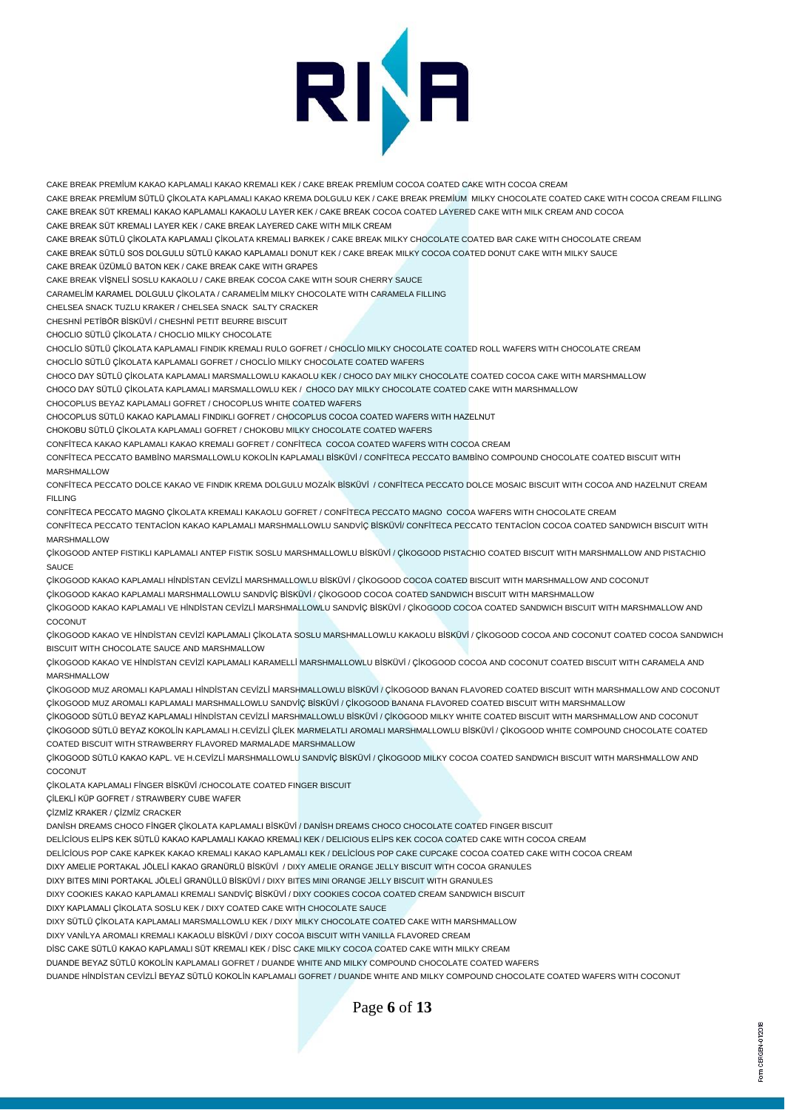# RINA

CAKE BREAK PREMİUM KAKAO KAPLAMALI KAKAO KREMALI KEK / CAKE BREAK PREMİUM COCOA COATED CAKE WITH COCOA CREAM CAKE BREAK PREMİUM SÜTLÜ ÇİKOLATA KAPLAMALI KAKAO KREMA DOLGULU KEK / CAKE BREAK PREMİUM MILKY CHOCOLATE COATED CAKE WITH COCOA CREAM FILLING CAKE BREAK SÜT KREMALI KAKAO KAPLAMALI KAKAOLU LAYER KEK / CAKE BREAK COCOA COATED LAYERED CAKE WITH MILK CREAM AND COCOA CAKE BREAK SÜT KREMALI LAYER KEK / CAKE BREAK LAYERED CAKE WITH MILK CREAM CAKE BREAK SÜTLÜ ÇİKOLATA KAPLAMALI ÇİKOLATA KREMALI BARKEK / CAKE BREAK MILKY CHOCOLATE COATED BAR CAKE WITH CHOCOLATE CREAM CAKE BREAK SÜTLÜ SOS DOLGULU SÜTLÜ KAKAO KAPLAMALI DONUT KEK / CAKE BREAK MILKY COCOA COATED DONUT CAKE WITH MILKY SAUCE CAKE BREAK ÜZÜMLÜ BATON KEK / CAKE BREAK CAKE WITH GRAPES CAKE BREAK VİŞNELİ SOSLU KAKAOLU / CAKE BREAK COCOA CAKE WITH SOUR CHERRY SAUCE CARAMELİM KARAMEL DOLGULU ÇİKOLATA / CARAMELİM MILKY CHOCOLATE WITH CARAMELA FILLING CHELSEA SNACK TUZLU KRAKER / CHELSEA SNACK SALTY CRACKER CHESHNİ PETİBÖR BİSKÜVİ / CHESHNİ PETIT BEURRE BISCUIT CHOCLIO SÜTLÜ ÇİKOLATA / CHOCLIO MILKY CHOCOLATE CHOCLİO SÜTLÜ ÇİKOLATA KAPLAMALI FINDIK KREMALI RULO GOFRET / CHOCLİO MILKY CHOCOLATE COATED ROLL WAFERS WITH CHOCOLATE CREAM

CHOCLİO SÜTLÜ ÇİKOLATA KAPLAMALI GOFRET / CHOCLİO MILKY CHOCOLATE COATED WAFERS

CHOCO DAY SÜTLÜ ÇİKOLATA KAPLAMALI MARSMALLOWLU KAKAOLU KEK / CHOCO DAY MILKY CHOCOLATE COATED COCOA CAKE WITH MARSHMALLOW

CHOCO DAY SÜTLÜ ÇİKOLATA KAPLAMALI MARSMALLOWLU KEK / CHOCO DAY MILKY CHOCOLATE COATED CAKE WITH MARSHMALLOW

CHOCOPLUS BEYAZ KAPLAMALI GOFRET / CHOCOPLUS WHITE COATED WAFERS

CHOCOPLUS SÜTLÜ KAKAO KAPLAMALI FINDIKLI GOFRET / CHOCOPLUS COCOA COATED WAFERS WITH HAZELNUT

CHOKOBU SÜTLÜ ÇİKOLATA KAPLAMALI GOFRET / CHOKOBU MILKY CHOCOLATE COATED WAFERS

CONFİTECA KAKAO KAPLAMALI KAKAO KREMALI GOFRET / CONFİTECA COCOA COATED WAFERS WITH COCOA CREAM

CONFİTECA PECCATO BAMBİNO MARSMALLOWLU KOKOLİN KAPLAMALI BİSKÜVİ / CONFİTECA PECCATO BAMBİNO COMPOUND CHOCOLATE COATED BISCUIT WITH MARSHMALLOW

CONFİTECA PECCATO DOLCE KAKAO VE FINDIK KREMA DOLGULU MOZAİK BİSKÜVİ / CONFİTECA PECCATO DOLCE MOSAIC BISCUIT WITH COCOA AND HAZELNUT CREAM FILLING

CONFİTECA PECCATO MAGNO ÇİKOLATA KREMALI KAKAOLU GOFRET / CONFİTECA PECCATO MAGNO COCOA WAFERS WITH CHOCOLATE CREAM

CONFİTECA PECCATO TENTACİON KAKAO KAPLAMALI MARSHMALLOWLU SANDVİÇ BİSKÜVİ/ CONFİTECA PECCATO TENTACİON COCOA COATED SANDWICH BISCUIT WITH MARSHMALLOW

ÇİKOGOOD ANTEP FISTIKLI KAPLAMALI ANTEP FISTIK SOSLU MARSHMALLOWLU BİSKÜVİ / ÇİKOGOOD PISTACHIO COATED BISCUIT WITH MARSHMALLOW AND PISTACHIO **SAUCE** 

ÇİKOGOOD KAKAO KAPLAMALI HİNDİSTAN CEVİZLİ MARSHMALLOWLU BİSKÜVİ / ÇİKOGOOD COCOA COATED BISCUIT WITH MARSHMALLOW AND COCONUT ÇİKOGOOD KAKAO KAPLAMALI MARSHMALLOWLU SANDVİÇ BİSKÜVİ / ÇİKOGOOD COCOA COATED SANDWICH BISCUIT WITH MARSHMALLOW

ÇİKOGOOD KAKAO KAPLAMALI VE HİNDİSTAN CEVİZLİ MARSHMALLOWLU SANDVİÇ BİSKÜVİ / ÇİKOGOOD COCOA COATED SANDWICH BISCUIT WITH MARSHMALLOW AND COCONUT

ÇİKOGOOD KAKAO VE HİNDİSTAN CEVİZİ KAPLAMALI ÇİKOLATA SOSLU MARSHMALLOWLU KAKAOLU BİSKÜVİ / ÇİKOGOOD COCOA AND COCONUT COATED COCOA SANDWICH BISCUIT WITH CHOCOLATE SAUCE AND MARSHMALLOW

ÇİKOGOOD KAKAO VE HİNDİSTAN CEVİZİ KAPLAMALI KARAMELLİ MARSHMALLOWLU BİSKÜVİ / ÇİKOGOOD COCOA AND COCONUT COATED BISCUIT WITH CARAMELA AND MARSHMALLOW

ÇİKOGOOD MUZ AROMALI KAPLAMALI HİNDİSTAN CEVİZLİ MARSHMALLOWLU BİSKÜVİ / ÇİKOGOOD BANAN FLAVORED COATED BISCUIT WITH MARSHMALLOW AND COCONUT ÇİKOGOOD MUZ AROMALI KAPLAMALI MARSHMALLOWLU SANDVİÇ BİSKÜVİ / ÇİKOGOOD BANANA FLAVORED COATED BISCUIT WITH MARSHMALLOW

ÇİKOGOOD SÜTLÜ BEYAZ KAPLAMALI HİNDİSTAN CEVİZLİ MARSHMALLOWLU BİSKÜVİ / ÇİKOGOOD MILKY WHITE COATED BISCUIT WITH MARSHMALLOW AND COCONUT ÇİKOGOOD SÜTLÜ BEYAZ KOKOLİN KAPLAMALI H.CEVİZLİ ÇİLEK MARMELATLI AROMALI MARSHMALLOWLU BİSKÜVİ / ÇİKOGOOD WHITE COMPOUND CHOCOLATE COATED COATED BISCUIT WITH STRAWBERRY FLAVORED MARMALADE MARSHMALLOW

ÇİKOGOOD SÜTLÜ KAKAO KAPL. VE H.CEVİZLİ MARSHMALLOWLU SANDVİÇ BİSKÜVİ / ÇİKOGOOD MILKY COCOA COATED SANDWICH BISCUIT WITH MARSHMALLOW AND COCONUT

ÇİKOLATA KAPLAMALI FİNGER BİSKÜVİ /CHOCOLATE COATED FINGER BISCUIT

ÇİLEKLİ KÜP GOFRET / STRAWBERY CUBE WAFER

ÇİZMİZ KRAKER / ÇİZMİZ CRACKER

DANİSH DREAMS CHOCO FİNGER ÇİKOLATA KAPLAMALI BİSKÜVİ / DANİSH DREAMS CHOCO CHOCOLATE COATED FINGER BISCUIT

DELİCİOUS ELİPS KEK SÜTLÜ KAKAO KAPLAMALI KAKAO KREMALI KEK / DELICIOUS ELİPS KEK COCOA COATED CAKE WITH COCOA CREAM

DELİCİOUS POP CAKE KAPKEK KAKAO KREMALI KAKAO KAPLAMALI KEK / DELİCİOUS POP CAKE CUPCAKE COCOA COATED CAKE WITH COCOA CREAM

DIXY AMELIE PORTAKAL JÖLELİ KAKAO GRANÜRLÜ BİSKÜVİ / DIXY AMELIE ORANGE JELLY BISCUIT WITH COCOA GRANULES

DIXY BITES MINI PORTAKAL JÖLELİ GRANÜLLÜ BİSKÜVİ / DIXY BITES MINI ORANGE JELLY BISCUIT WITH GRANULES

DIXY COOKIES KAKAO KAPLAMALI KREMALI SANDVİÇ BİSKÜVİ / DIXY COOKIES COCOA COATED CREAM SANDWICH BISCUIT

DIXY KAPLAMALI ÇİKOLATA SOSLU KEK / DIXY COATED CAKE WITH CHOCOLATE SAUCE

DIXY SÜTLÜ ÇİKOLATA KAPLAMALI MARSMALLOWLU KEK / DIXY MILKY CHOCOLATE COATED CAKE WITH MARSHMALLOW

DIXY VANİLYA AROMALI KREMALI KAKAOLU BİSKÜVİ / DIXY COCOA BISCUIT WITH VANILLA FLAVORED CREAM

DİSC CAKE SÜTLÜ KAKAO KAPLAMALI SÜT KREMALI KEK / DİSC CAKE MILKY COCOA COATED CAKE WITH MILKY CREAM

DUANDE BEYAZ SÜTLÜ KOKOLİN KAPLAMALI GOFRET / DUANDE WHITE AND MILKY COMPOUND CHOCOLATE COATED WAFERS

DUANDE HİNDİSTAN CEVİZLİ BEYAZ SÜTLÜ KOKOLİN KAPLAMALI GOFRET / DUANDE WHITE AND MILKY COMPOUND CHOCOLATE COATED WAFERS WITH COCONUT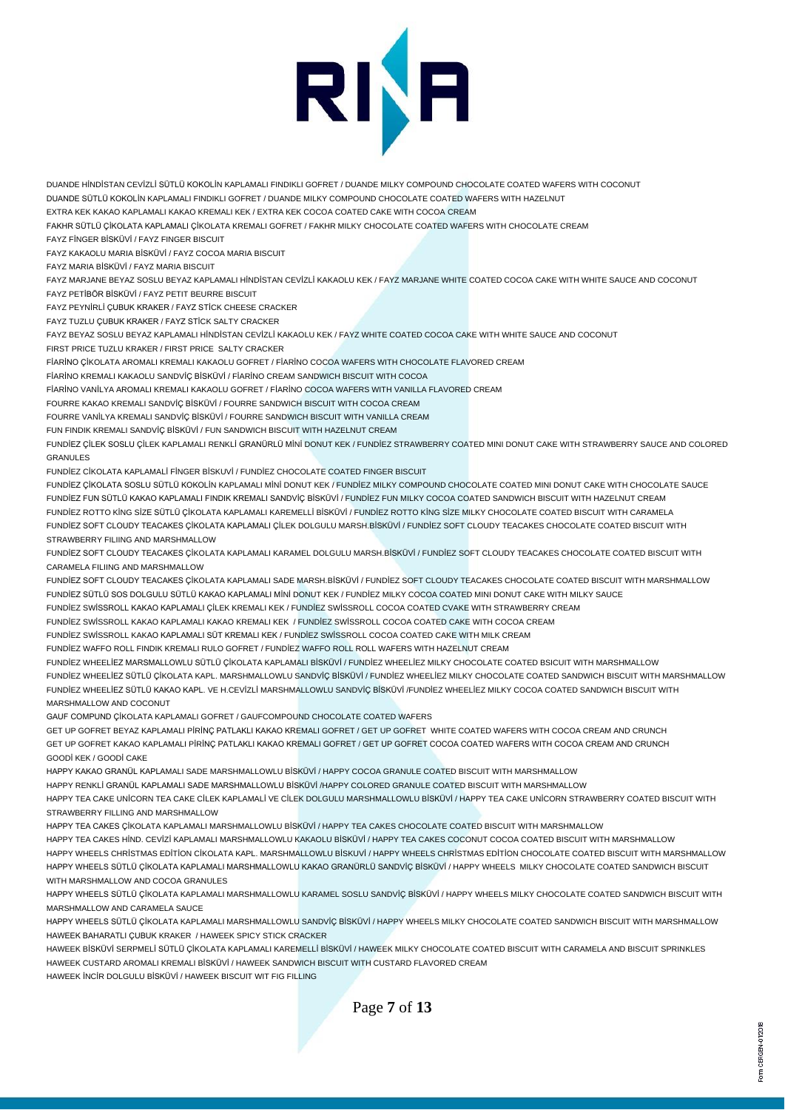

DUANDE HİNDİSTAN CEVİZLİ SÜTLÜ KOKOLİN KAPLAMALI FINDIKLI GOFRET / DUANDE MILKY COMPOUND CHOCOLATE COATED WAFERS WITH COCONUT DUANDE SÜTLÜ KOKOLİN KAPLAMALI FINDIKLI GOFRET / DUANDE MILKY COMPOUND CHOCOLATE COATED WAFERS WITH HAZELNUT

EXTRA KEK KAKAO KAPLAMALI KAKAO KREMALI KEK / EXTRA KEK COCOA COATED CAKE WITH COCOA CREAM

FAKHR SÜTLÜ ÇİKOLATA KAPLAMALI ÇİKOLATA KREMALI GOFRET / FAKHR MILKY CHOCOLATE COATED WAFERS WITH CHOCOLATE CREAM

FAYZ FİNGER BİSKÜVİ / FAYZ FINGER BISCUIT

FAYZ KAKAOLU MARIA BİSKÜVİ / FAYZ COCOA MARIA BISCUIT

FAYZ MARIA BİSKÜVİ / FAYZ MARIA BISCUIT

FAYZ MARJANE BEYAZ SOSLU BEYAZ KAPLAMALI HİNDİSTAN CEVİZLİ KAKAOLU KEK / FAYZ MARJANE WHITE COATED COCOA CAKE WITH WHITE SAUCE AND COCONUT FAYZ PETİBÖR BİSKÜVİ / FAYZ PETIT BEURRE BISCUIT

FAYZ PEYNİRLİ ÇUBUK KRAKER / FAYZ STİCK CHEESE CRACKER

FAYZ TUZLU ÇUBUK KRAKER / FAYZ STİCK SALTY CRACKER

FAYZ BEYAZ SOSLU BEYAZ KAPLAMALI HİNDİSTAN CEVİZLİ KAKAOLU KEK / FAYZ WHITE COATED COCOA CAKE WITH WHITE SAUCE AND COCONUT FIRST PRICE TUZLU KRAKER / FIRST PRICE SALTY CRACKER

FİARİNO ÇİKOLATA AROMALI KREMALI KAKAOLU GOFRET / FİARİNO COCOA WAFERS WITH CHOCOLATE FLAVORED CREAM

FİARİNO KREMALI KAKAOLU SANDVİÇ BİSKÜVİ / FİARİNO CREAM SANDWICH BISCUIT WITH COCOA

FİARİNO VANİLYA AROMALI KREMALI KAKAOLU GOFRET / FİARİNO COCOA WAFERS WITH VANILLA FLAVORED CREAM

FOURRE KAKAO KREMALI SANDVİÇ BİSKÜVİ / FOURRE SANDWICH BISCUIT WITH COCOA CREAM

FOURRE VANİLYA KREMALI SANDVİÇ BİSKÜVİ / FOURRE SANDWICH BISCUIT WITH VANILLA CREAM

FUN FINDIK KREMALI SANDVİÇ BİSKÜVİ / FUN SANDWICH BISCUIT WITH HAZELNUT CREAM

FUNDİEZ ÇİLEK SOSLU ÇİLEK KAPLAMALI RENKLİ GRANÜRLÜ MİNİ DONUT KEK / FUNDİEZ STRAWBERRY COATED MINI DONUT CAKE WITH STRAWBERRY SAUCE AND COLORED GRANULES

FUNDİEZ CİKOLATA KAPLAMALİ FİNGER BİSKUVİ / FUNDİEZ CHOCOLATE COATED FINGER BISCUIT

FUNDİEZ ÇİKOLATA SOSLU SÜTLÜ KOKOLİN KAPLAMALI MİNİ DONUT KEK / FUNDİEZ MILKY COMPOUND CHOCOLATE COATED MINI DONUT CAKE WITH CHOCOLATE SAUCE FUNDİEZ FUN SÜTLÜ KAKAO KAPLAMALI FINDIK KREMALI SANDVİÇ BİSKÜVİ / FUNDİEZ FUN MILKY COCOA COATED SANDWICH BISCUIT WITH HAZELNUT CREAM FUNDİEZ ROTTO KİNG SİZE SÜTLÜ ÇİKOLATA KAPLAMALI KAREMELLİ BİSKÜVİ / FUNDİEZ ROTTO KİNG SİZE MILKY CHOCOLATE COATED BISCUIT WITH CARAMELA FUNDİEZ SOFT CLOUDY TEACAKES ÇİKOLATA KAPLAMALI ÇİLEK DOLGULU MARSH.BİSKÜVİ / FUNDİEZ SOFT CLOUDY TEACAKES CHOCOLATE COATED BISCUIT WITH STRAWBERRY FILIING AND MARSHMALLOW

FUNDİEZ SOFT CLOUDY TEACAKES ÇİKOLATA KAPLAMALI KARAMEL DOLGULU MARSH.BİSKÜVİ / FUNDİEZ SOFT CLOUDY TEACAKES CHOCOLATE COATED BISCUIT WITH CARAMELA FILIING AND MARSHMALLOW

FUNDİEZ SOFT CLOUDY TEACAKES ÇİKOLATA KAPLAMALI SADE MARSH.BİSKÜVİ / FUNDİEZ SOFT CLOUDY TEACAKES CHOCOLATE COATED BISCUIT WITH MARSHMALLOW FUNDİEZ SÜTLÜ SOS DOLGULU SÜTLÜ KAKAO KAPLAMALI MİNİ DONUT KEK / FUNDİEZ MILKY COCOA COATED MINI DONUT CAKE WITH MILKY SAUCE

FUNDİEZ SWİSSROLL KAKAO KAPLAMALI ÇİLEK KREMALI KEK / FUNDİEZ SWİSSROLL COCOA COATED CVAKE WITH STRAWBERRY CREAM

FUNDİEZ SWİSSROLL KAKAO KAPLAMALI KAKAO KREMALI KEK / FUNDİEZ SWİSSROLL COCOA COATED CAKE WITH COCOA CREAM

FUNDİEZ SWİSSROLL KAKAO KAPLAMALI SÜT KREMALI KEK / FUNDİEZ SWİSSROLL COCOA COATED CAKE WITH MILK CREAM

FUNDİEZ WAFFO ROLL FINDIK KREMALI RULO GOFRET / FUNDİEZ WAFFO ROLL ROLL WAFERS WITH HAZELNUT CREAM

FUNDİEZ WHEELİEZ MARSMALLOWLU SÜTLÜ ÇİKOLATA KAPLAMALI BİSKÜVİ / FUNDİEZ WHEELİEZ MILKY CHOCOLATE COATED BSICUIT WITH MARSHMALLOW FUNDİEZ WHEELİEZ SÜTLÜ ÇİKOLATA KAPL. MARSHMALLOWLU SANDVİÇ BİSKÜVİ / FUNDİEZ WHEELİEZ MILKY CHOCOLATE COATED SANDWICH BISCUIT WITH MARSHMALLOW FUNDİEZ WHEELİEZ SÜTLÜ KAKAO KAPL. VE H.CEVİZLİ MARSHMALLOWLU SANDVİÇ BİSKÜVİ /FUNDİEZ WHEELİEZ MILKY COCOA COATED SANDWICH BISCUIT WITH MARSHMALLOW AND COCONUT

GAUF COMPUND ÇİKOLATA KAPLAMALI GOFRET / GAUFCOMPOUND CHOCOLATE COATED WAFERS

GET UP GOFRET BEYAZ KAPLAMALI PİRİNÇ PATLAKLI KAKAO KREMALI GOFRET / GET UP GOFRET WHITE COATED WAFERS WITH COCOA CREAM AND CRUNCH GET UP GOFRET KAKAO KAPLAMALI PİRİNÇ PATLAKLI KAKAO KREMALI GOFRET / GET UP GOFRET COCOA COATED WAFERS WITH COCOA CREAM AND CRUNCH GOODİ KEK / GOODİ CAKE

HAPPY KAKAO GRANÜL KAPLAMALI SADE MARSHMALLOWLU BİSKÜVİ / HAPPY COCOA GRANULE COATED BISCUIT WITH MARSHMALLOW

HAPPY RENKLİ GRANÜL KAPLAMALI SADE MARSHMALLOWLU BİSKÜVİ /HAPPY COLORED GRANULE COATED BISCUIT WITH MARSHMALLOW HAPPY TEA CAKE UNİCORN TEA CAKE CİLEK KAPLAMALİ VE CİLEK DOLGULU MARSHMALLOWLU BİSKÜVİ / HAPPY TEA CAKE UNİCORN STRAWBERRY COATED BISCUIT WITH STRAWBERRY FILLING AND MARSHMALLOW

HAPPY TEA CAKES ÇİKOLATA KAPLAMALI MARSHMALLOWLU BİSKÜVİ / HAPPY TEA CAKES CHOCOLATE COATED BISCUIT WITH MARSHMALLOW

HAPPY TEA CAKES HİND. CEVİZİ KAPLAMALI MARSHMALLOWLU KAKAOLU BİSKÜVİ / HAPPY TEA CAKES COCONUT COCOA COATED BISCUIT WITH MARSHMALLOW HAPPY WHEELS CHRİSTMAS EDİTİON CİKOLATA KAPL. MARSHMALLOWLU BİSKUVİ / HAPPY WHEELS CHRİSTMAS EDİTİON CHOCOLATE COATED BISCUIT WITH MARSHMALLOW HAPPY WHEELS SÜTLÜ ÇİKOLATA KAPLAMALI MARSHMALLOWLU KAKAO GRANÜRLÜ SANDVİÇ BİSKÜVİ / HAPPY WHEELS MILKY CHOCOLATE COATED SANDWICH BISCUIT

WITH MARSHMALLOW AND COCOA GRANULES

HAPPY WHEELS SÜTLÜ ÇİKOLATA KAPLAMALI MARSHMALLOWLU KARAMEL SOSLU SANDVİÇ BİSKÜVİ / HAPPY WHEELS MILKY CHOCOLATE COATED SANDWICH BISCUIT WITH MARSHMALLOW AND CARAMELA SAUCE

HAPPY WHEELS SÜTLÜ ÇİKOLATA KAPLAMALI MARSHMALLOWLU SANDVİÇ BİSKÜVİ / HAPPY WHEELS MILKY CHOCOLATE COATED SANDWICH BISCUIT WITH MARSHMALLOW HAWEEK BAHARATLI ÇUBUK KRAKER / HAWEEK SPICY STICK CRACKER

HAWEEK BİSKÜVİ SERPMELİ SÜTLÜ ÇİKOLATA KAPLAMALI KAREMELLİ BİSKÜVİ / HAWEEK MILKY CHOCOLATE COATED BISCUIT WITH CARAMELA AND BISCUIT SPRINKLES HAWEEK CUSTARD AROMALI KREMALI BİSKÜVİ / HAWEEK SANDWICH BISCUIT WITH CUSTARD FLAVORED CREAM

HAWEEK İNCİR DOLGULU BİSKÜVİ / HAWEEK BISCUIT WIT FIG FILLING

Page **7** of **13**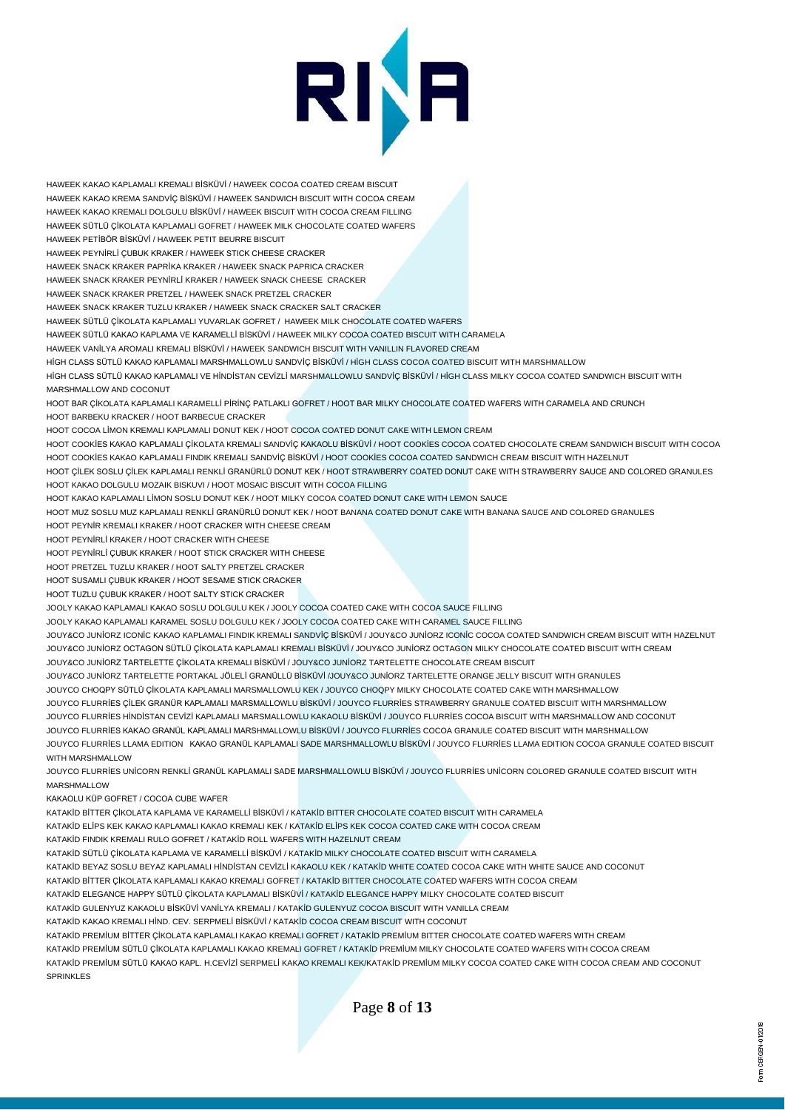

HAWEEK KAKAO KAPLAMALI KREMALI BİSKÜVİ / HAWEEK COCOA COATED CREAM BISCUIT HAWEEK KAKAO KREMA SANDVİÇ BİSKÜVİ / HAWEEK SANDWICH BISCUIT WITH COCOA CREAM HAWEEK KAKAO KREMALI DOLGULU BİSKÜVİ / HAWEEK BISCUIT WITH COCOA CREAM FILLING HAWEEK SÜTLÜ ÇİKOLATA KAPLAMALI GOFRET / HAWEEK MILK CHOCOLATE COATED WAFERS HAWEEK PETİBÖR BİSKÜVİ / HAWEEK PETIT BEURRE BISCUIT HAWEEK PEYNİRLİ ÇUBUK KRAKER / HAWEEK STICK CHEESE CRACKER HAWEEK SNACK KRAKER PAPRİKA KRAKER / HAWEEK SNACK PAPRICA CRACKER HAWEEK SNACK KRAKER PEYNİRLİ KRAKER / HAWEEK SNACK CHEESE CRACKER HAWEEK SNACK KRAKER PRETZEL / HAWEEK SNACK PRETZEL CRACKER HAWEEK SNACK KRAKER TUZLU KRAKER / HAWEEK SNACK CRACKER SALT CRACKER HAWEEK SÜTLÜ ÇİKOLATA KAPLAMALI YUVARLAK GOFRET / HAWEEK MILK CHOCOLATE COATED WAFERS HAWEEK SÜTLÜ KAKAO KAPLAMA VE KARAMELLİ BİSKÜVİ / HAWEEK MILKY COCOA COATED BISCUIT WITH CARAMELA HAWEEK VANİLYA AROMALI KREMALI BİSKÜVİ / HAWEEK SANDWICH BISCUIT WITH VANILLIN FLAVORED CREAM HİGH CLASS SÜTLÜ KAKAO KAPLAMALI MARSHMALLOWLU SANDVİÇ BİSKÜVİ / HİGH CLASS COCOA COATED BISCUIT WITH MARSHMALLOW HİGH CLASS SÜTLÜ KAKAO KAPLAMALI VE HİNDİSTAN CEVİZLİ MARSHMALLOWLU SANDVİÇ BİSKÜVİ / HİGH CLASS MILKY COCOA COATED SANDWICH BISCUIT WITH MARSHMALLOW AND COCONUT HOOT BAR ÇİKOLATA KAPLAMALI KARAMELLİ PİRİNÇ PATLAKLI GOFRET / HOOT BAR MILKY CHOCOLATE COATED WAFERS WITH CARAMELA AND CRUNCH HOOT BARBEKU KRACKER / HOOT BARBECUE CRACKER HOOT COCOA LİMON KREMALI KAPLAMALI DONUT KEK / HOOT COCOA COATED DONUT CAKE WITH LEMON CREAM HOOT COOKİES KAKAO KAPLAMALI ÇİKOLATA KREMALI SANDVİÇ KAKAOLU BİSKÜVİ / HOOT COOKİES COCOA COATED CHOCOLATE CREAM SANDWICH BISCUIT WITH COCOA HOOT COOKİES KAKAO KAPLAMALI FINDIK KREMALI SANDVİÇ BİSKÜVİ / HOOT COOKİES COCOA COATED SANDWICH CREAM BISCUIT WITH HAZELNUT HOOT ÇİLEK SOSLU ÇİLEK KAPLAMALI RENKLİ GRANÜRLÜ DONUT KEK / HOOT STRAWBERRY COATED DONUT CAKE WITH STRAWBERRY SAUCE AND COLORED GRANULES HOOT KAKAO DOLGULU MOZAIK BISKUVI / HOOT MOSAIC BISCUIT WITH COCOA FILLING HOOT KAKAO KAPLAMALI LİMON SOSLU DONUT KEK / HOOT MILKY COCOA COATED DONUT CAKE WITH LEMON SAUCE HOOT MUZ SOSLU MUZ KAPLAMALI RENKLİ GRANÜRLÜ DONUT KEK / HOOT BANANA COATED DONUT CAKE WITH BANANA SAUCE AND COLORED GRANULES HOOT PEYNİR KREMALI KRAKER / HOOT CRACKER WITH CHEESE CREAM HOOT PEYNİRLİ KRAKER / HOOT CRACKER WITH CHEESE HOOT PEYNİRLİ ÇUBUK KRAKER / HOOT STICK CRACKER WITH CHEESE HOOT PRETZEL TUZLU KRAKER / HOOT SALTY PRETZEL CRACKER HOOT SUSAMLI ÇUBUK KRAKER / HOOT SESAME STICK CRACKER HOOT TUZLU ÇUBUK KRAKER / HOOT SALTY STICK CRACKER JOOLY KAKAO KAPLAMALI KAKAO SOSLU DOLGULU KEK / JOOLY COCOA COATED CAKE WITH COCOA SAUCE FILLING JOOLY KAKAO KAPLAMALI KARAMEL SOSLU DOLGULU KEK / JOOLY COCOA COATED CAKE WITH CARAMEL SAUCE FILLING JOUY&CO JUNİORZ ICONİC KAKAO KAPLAMALI FINDIK KREMALI SANDVİÇ BİSKÜVİ / JOUY&CO JUNİORZ ICONİC COCOA COATED SANDWICH CREAM BISCUIT WITH HAZELNUT JOUY&CO JUNİORZ OCTAGON SÜTLÜ ÇİKOLATA KAPLAMALI KREMALI BİSKÜVİ / JOUY&CO JUNİORZ OCTAGON MILKY CHOCOLATE COATED BISCUIT WITH CREAM JOUY&CO JUNİORZ TARTELETTE ÇİKOLATA KREMALI BİSKÜVİ / JOUY&CO JUNİORZ TARTELETTE CHOCOLATE CREAM BISCUIT JOUY&CO JUNİORZ TARTELETTE PORTAKAL JÖLELİ GRANÜLLÜ BİSKÜVİ /JOUY&CO JUNİORZ TARTELETTE ORANGE JELLY BISCUIT WITH GRANULES JOUYCO CHOQPY SÜTLÜ ÇİKOLATA KAPLAMALI MARSMALLOWLU KEK / JOUYCO CHOQPY MILKY CHOCOLATE COATED CAKE WITH MARSHMALLOW JOUYCO FLURRİES ÇİLEK GRANÜR KAPLAMALI MARSMALLOWLU BİSKÜVİ / JOUYCO FLURRİES STRAWBERRY GRANULE COATED BISCUIT WITH MARSHMALLOW JOUYCO FLURRİES HİNDİSTAN CEVİZİ KAPLAMALI MARSMALLOWLU KAKAOLU BİSKÜVİ / JOUYCO FLURRİES COCOA BISCUIT WITH MARSHMALLOW AND COCONUT JOUYCO FLURRİES KAKAO GRANÜL KAPLAMALI MARSHMALLOWLU BİSKÜVİ / JOUYCO FLURRİES COCOA GRANULE COATED BISCUIT WITH MARSHMALLOW JOUYCO FLURRİES LLAMA EDITION KAKAO GRANÜL KAPLAMALI SADE MARSHMALLOWLU BİSKÜVİ / JOUYCO FLURRİES LLAMA EDITION COCOA GRANULE COATED BISCUIT WITH MARSHMALLOW JOUYCO FLURRİES UNİCORN RENKLİ GRANÜL KAPLAMALI SADE MARSHMALLOWLU BİSKÜVİ / JOUYCO FLURRİES UNİCORN COLORED GRANULE COATED BISCUIT WITH MARSHMALLOW KAKAOLU KÜP GOFRET / COCOA CUBE WAFER KATAKİD BİTTER ÇİKOLATA KAPLAMA VE KARAMELLİ BİSKÜVİ / KATAKİD BITTER CHOCOLATE COATED BISCUIT WITH CARAMELA KATAKİD ELİPS KEK KAKAO KAPLAMALI KAKAO KREMALI KEK / KATAKİD ELİPS KEK COCOA COATED CAKE WITH COCOA CREAM KATAKİD FINDIK KREMALI RULO GOFRET / KATAKİD ROLL WAFERS WITH HAZELNUT CREAM KATAKİD SÜTLÜ ÇİKOLATA KAPLAMA VE KARAMELLİ BİSKÜVİ / KATAKİD MILKY CHOCOLATE COATED BISCUIT WITH CARAMELA KATAKİD BEYAZ SOSLU BEYAZ KAPLAMALI HİNDİSTAN CEVİZLİ KAKAOLU KEK / KATAKİD WHITE COATED COCOA CAKE WITH WHITE SAUCE AND COCONUT KATAKİD BİTTER ÇİKOLATA KAPLAMALI KAKAO KREMALI GOFRET / KATAKİD BITTER CHOCOLATE COATED WAFERS WITH COCOA CREAM KATAKİD ELEGANCE HAPPY SÜTLÜ ÇİKOLATA KAPLAMALI BİSKÜVİ / KATAKİD ELEGANCE HAPPY MILKY CHOCOLATE COATED BISCUIT KATAKİD GULENYUZ KAKAOLU BİSKÜVİ VANİLYA KREMALI / KATAKİD GULENYUZ COCOA BISCUIT WITH VANILLA CREAM KATAKİD KAKAO KREMALI HİND. CEV. SERPMELİ BİSKÜVİ / KATAKİD COCOA CREAM BISCUIT WITH COCONUT KATAKİD PREMİUM BİTTER ÇİKOLATA KAPLAMALI KAKAO KREMALI GOFRET / KATAKİD PREMİUM BITTER CHOCOLATE COATED WAFERS WITH CREAM

KATAKİD PREMİUM SÜTLÜ ÇİKOLATA KAPLAMALI KAKAO KREMALI GOFRET / KATAKİD PREMİUM MILKY CHOCOLATE COATED WAFERS WITH COCOA CREAM KATAKİD PREMİUM SÜTLÜ KAKAO KAPL. H.CEVİZİ SERPMELİ KAKAO KREMALI KEK/KATAKİD PREMİUM MILKY COCOA COATED CAKE WITH COCOA CREAM AND COCONUT SPRINKLES

Page **8** of **13**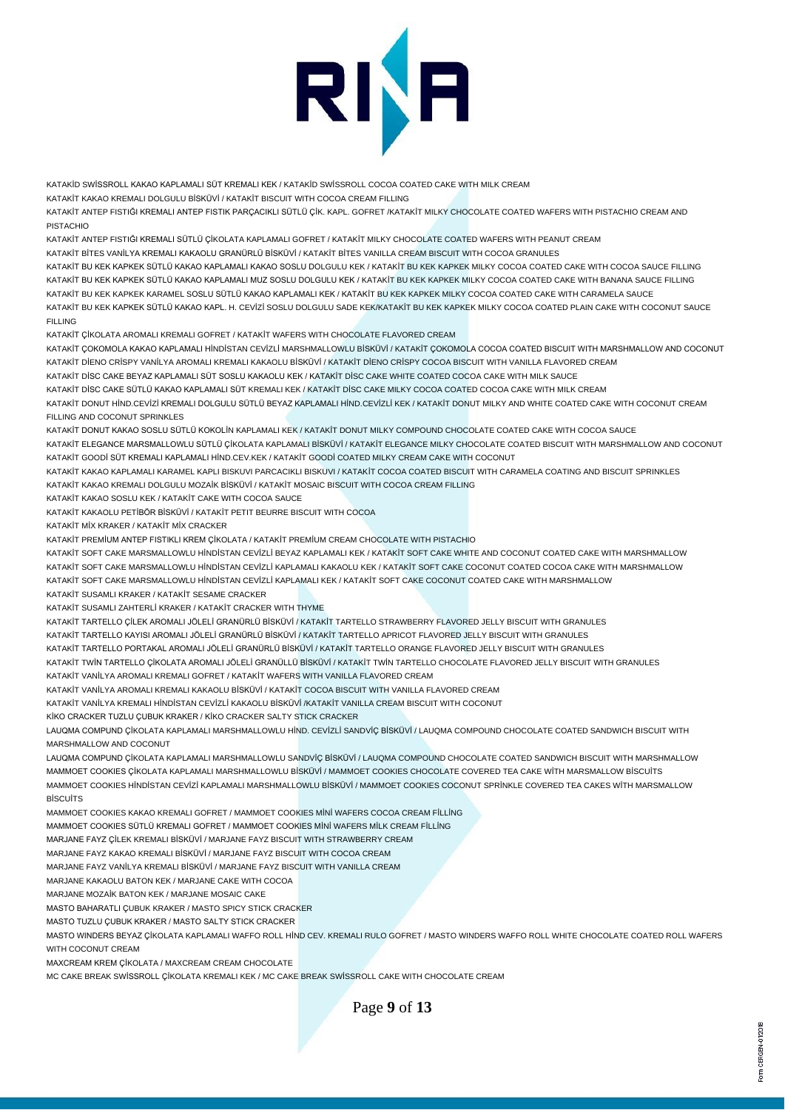

KATAKİD SWİSSROLL KAKAO KAPLAMALI SÜT KREMALI KEK / KATAKİD SWİSSROLL COCOA COATED CAKE WITH MILK CREAM

KATAKİT KAKAO KREMALI DOLGULU BİSKÜVİ / KATAKİT BISCUIT WITH COCOA CREAM FILLING

KATAKİT ANTEP FISTIĞI KREMALI ANTEP FISTIK PARÇACIKLI SÜTLÜ ÇİK. KAPL. GOFRET /KATAKİT MILKY CHOCOLATE COATED WAFERS WITH PISTACHIO CREAM AND PISTACHIO

KATAKİT ANTEP FISTIĞI KREMALI SÜTLÜ ÇİKOLATA KAPLAMALI GOFRET / KATAKİT MILKY CHOCOLATE COATED WAFERS WITH PEANUT CREAM

KATAKİT BİTES VANİLYA KREMALI KAKAOLU GRANÜRLÜ BİSKÜVİ / KATAKİT BİTES VANILLA CREAM BISCUIT WITH COCOA GRANULES

KATAKİT BU KEK KAPKEK SÜTLÜ KAKAO KAPLAMALI KAKAO SOSLU DOLGULU KEK / KATAKİT BU KEK KAPKEK MILKY COCOA COATED CAKE WITH COCOA SAUCE FILLING KATAKİT BU KEK KAPKEK SÜTLÜ KAKAO KAPLAMALI MUZ SOSLU DOLGULU KEK / KATAKİT BU KEK KAPKEK MILKY COCOA COATED CAKE WITH BANANA SAUCE FILLING KATAKİT BU KEK KAPKEK KARAMEL SOSLU SÜTLÜ KAKAO KAPLAMALI KEK / KATAKİT BU KEK KAPKEK MILKY COCOA COATED CAKE WITH CARAMELA SAUCE KATAKİT BU KEK KAPKEK SÜTLÜ KAKAO KAPL. H. CEVİZİ SOSLU DOLGULU SADE KEK/KATAKİT BU KEK KAPKEK MILKY COCOA COATED PLAIN CAKE WITH COCONUT SAUCE FILLING

KATAKİT ÇİKOLATA AROMALI KREMALI GOFRET / KATAKİT WAFERS WITH CHOCOLATE FLAVORED CREAM

KATAKİT ÇOKOMOLA KAKAO KAPLAMALI HİNDİSTAN CEVİZLİ MARSHMALLOWLU BİSKÜVİ / KATAKİT ÇOKOMOLA COCOA COATED BISCUIT WITH MARSHMALLOW AND COCONUT KATAKİT DİENO CRİSPY VANİLYA AROMALI KREMALI KAKAOLU BİSKÜVİ / KATAKİT DİENO CRİSPY COCOA BISCUIT WITH VANILLA FLAVORED CREAM

KATAKİT DİSC CAKE BEYAZ KAPLAMALI SÜT SOSLU KAKAOLU KEK / KATAKİT DİSC CAKE WHITE COATED COCOA CAKE WITH MILK SAUCE

KATAKİT DİSC CAKE SÜTLÜ KAKAO KAPLAMALI SÜT KREMALI KEK / KATAKİT DİSC CAKE MILKY COCOA COATED COCOA CAKE WITH MILK CREAM

KATAKİT DONUT HİND.CEVİZİ KREMALI DOLGULU SÜTLÜ BEYAZ KAPLAMALI HİND.CEVİZLİ KEK / KATAKİT DONUT MILKY AND WHITE COATED CAKE WITH COCONUT CREAM FILLING AND COCONLIT SPRINKLES.

KATAKİT DONUT KAKAO SOSLU SÜTLÜ KOKOLİN KAPLAMALI KEK / KATAKİT DONUT MILKY COMPOUND CHOCOLATE COATED CAKE WITH COCOA SAUCE KATAKİT ELEGANCE MARSMALLOWLU SÜTLÜ ÇİKOLATA KAPLAMALI BİSKÜVİ / KATAKİT ELEGANCE MILKY CHOCOLATE COATED BISCUIT WITH MARSHMALLOW AND COCONUT KATAKİT GOODİ SÜT KREMALI KAPLAMALI HİND.CEV.KEK / KATAKİT GOODİ COATED MILKY CREAM CAKE WITH COCONUT

KATAKİT KAKAO KAPLAMALI KARAMEL KAPLI BISKUVI PARCACIKLI BISKUVI / KATAKİT COCOA COATED BISCUIT WITH CARAMELA COATING AND BISCUIT SPRINKLES KATAKİT KAKAO KREMALI DOLGULU MOZAİK BİSKÜVİ / KATAKİT MOSAIC BISCUIT WITH COCOA CREAM FILLING

KATAKİT KAKAO SOSLU KEK / KATAKİT CAKE WITH COCOA SAUCE

KATAKİT KAKAOLU PETİBÖR BİSKÜVİ / KATAKİT PETIT BEURRE BISCUIT WITH COCOA

KATAKİT MİX KRAKER / KATAKİT MİX CRACKER

KATAKİT PREMİUM ANTEP FISTIKLI KREM ÇİKOLATA / KATAKİT PREMİUM CREAM CHOCOLATE WITH PISTACHIO

KATAKİT SOFT CAKE MARSMALLOWLU HİNDİSTAN CEVİZLİ BEYAZ KAPLAMALI KEK / KATAKİT SOFT CAKE WHITE AND COCONUT COATED CAKE WITH MARSHMALLOW KATAKİT SOFT CAKE MARSMALLOWLU HİNDİSTAN CEVİZLİ KAPLAMALI KAKAOLU KEK / KATAKİT SOFT CAKE COCONUT COATED COCOA CAKE WITH MARSHMALLOW KATAKİT SOFT CAKE MARSMALLOWLU HİNDİSTAN CEVİZLİ KAPLAMALI KEK / KATAKİT SOFT CAKE COCONUT COATED CAKE WITH MARSHMALLOW

KATAKİT SUSAMLI KRAKER / KATAKİT SESAME CRACKER

KATAKİT SUSAMLI ZAHTERLİ KRAKER / KATAKİT CRACKER WITH THYME

KATAKİT TARTELLO ÇİLEK AROMALI JÖLELİ GRANÜRLÜ BİSKÜVİ / KATAKİT TARTELLO STRAWBERRY FLAVORED JELLY BISCUIT WITH GRANULES

KATAKİT TARTELLO KAYISI AROMALI JÖLELİ GRANÜRLÜ BİSKÜVİ / KATAKİT TARTELLO APRICOT FLAVORED JELLY BISCUIT WITH GRANULES

KATAKİT TARTELLO PORTAKAL AROMALI JÖLELİ GRANÜRLÜ BİSKÜVİ / KATAKİT TARTELLO ORANGE FLAVORED JELLY BISCUIT WITH GRANULES

KATAKİT TWİN TARTELLO ÇİKOLATA AROMALI JÖLELİ GRANÜLLÜ BİSKÜVİ / KATAKİT TWİN TARTELLO CHOCOLATE FLAVORED JELLY BISCUIT WITH GRANULES KATAKİT VANİLYA AROMALI KREMALI GOFRET / KATAKİT WAFERS WITH VANILLA FLAVORED CREAM

KATAKİT VANİLYA AROMALI KREMALI KAKAOLU BİSKÜVİ / KATAKİT COCOA BISCUIT WITH VANILLA FLAVORED CREAM

KATAKİT VANİLYA KREMALI HİNDİSTAN CEVİZLİ KAKAOLU BİSKÜVİ /KATAKİT VANILLA CREAM BISCUIT WITH COCONUT

KİKO CRACKER TUZLU ÇUBUK KRAKER / KİKO CRACKER SALTY STICK CRACKER

LAUQMA COMPUND ÇİKOLATA KAPLAMALI MARSHMALLOWLU HİND. CEVİZLİ SANDVİÇ BİSKÜVİ / LAUQMA COMPOUND CHOCOLATE COATED SANDWICH BISCUIT WITH MARSHMALLOW AND COCONUT

LAUQMA COMPUND ÇİKOLATA KAPLAMALI MARSHMALLOWLU SANDVİÇ BİSKÜVİ / LAUQMA COMPOUND CHOCOLATE COATED SANDWICH BISCUIT WITH MARSHMALLOW MAMMOET COOKIES ÇİKOLATA KAPLAMALI MARSHMALLOWLU BİSKÜVİ / MAMMOET COOKIES CHOCOLATE COVERED TEA CAKE WİTH MARSMALLOW BİSCUİTS MAMMOET COOKIES HİNDİSTAN CEVİZİ KAPLAMALI MARSHMALLOWLU BİSKÜVİ / MAMMOET COOKIES COCONUT SPRİNKLE COVERED TEA CAKES WİTH MARSMALLOW **B**ISCUITS

MAMMOET COOKIES KAKAO KREMALI GOFRET / MAMMOET COOKIES MİNİ WAFERS COCOA CREAM FİLLİNG

MAMMOET COOKIES SÜTLÜ KREMALI GOFRET / MAMMOET COOKIES MİNİ WAFERS MİLK CREAM FİLLİNG

MARJANE FAYZ ÇİLEK KREMALI BİSKÜVİ / MARJANE FAYZ BISCUIT WITH STRAWBERRY CREAM

MARJANE FAYZ KAKAO KREMALI BİSKÜVİ / MARJANE FAYZ BISCUIT WITH COCOA CREAM

MARJANE FAYZ VANİLYA KREMALI BİSKÜVİ / MARJANE FAYZ BISCUIT WITH VANILLA CREAM

MARJANE KAKAOLU BATON KEK / MARJANE CAKE WITH COCOA

MARJANE MOZAİK BATON KEK / MARJANE MOSAIC CAKE

MASTO BAHARATLI ÇUBUK KRAKER / MASTO SPICY STICK CRACKER

MASTO TUZLU ÇUBUK KRAKER / MASTO SALTY STICK CRACKER

MASTO WINDERS BEYAZ ÇİKOLATA KAPLAMALI WAFFO ROLL HİND CEV. KREMALI RULO GOFRET / MASTO WINDERS WAFFO ROLL WHITE CHOCOLATE COATED ROLL WAFERS WITH COCONLIT CREAM

MAXCREAM KREM ÇİKOLATA / MAXCREAM CREAM CHOCOLATE

MC CAKE BREAK SWİSSROLL ÇİKOLATA KREMALI KEK / MC CAKE BREAK SWİSSROLL CAKE WITH CHOCOLATE CREAM

Page **9** of **13**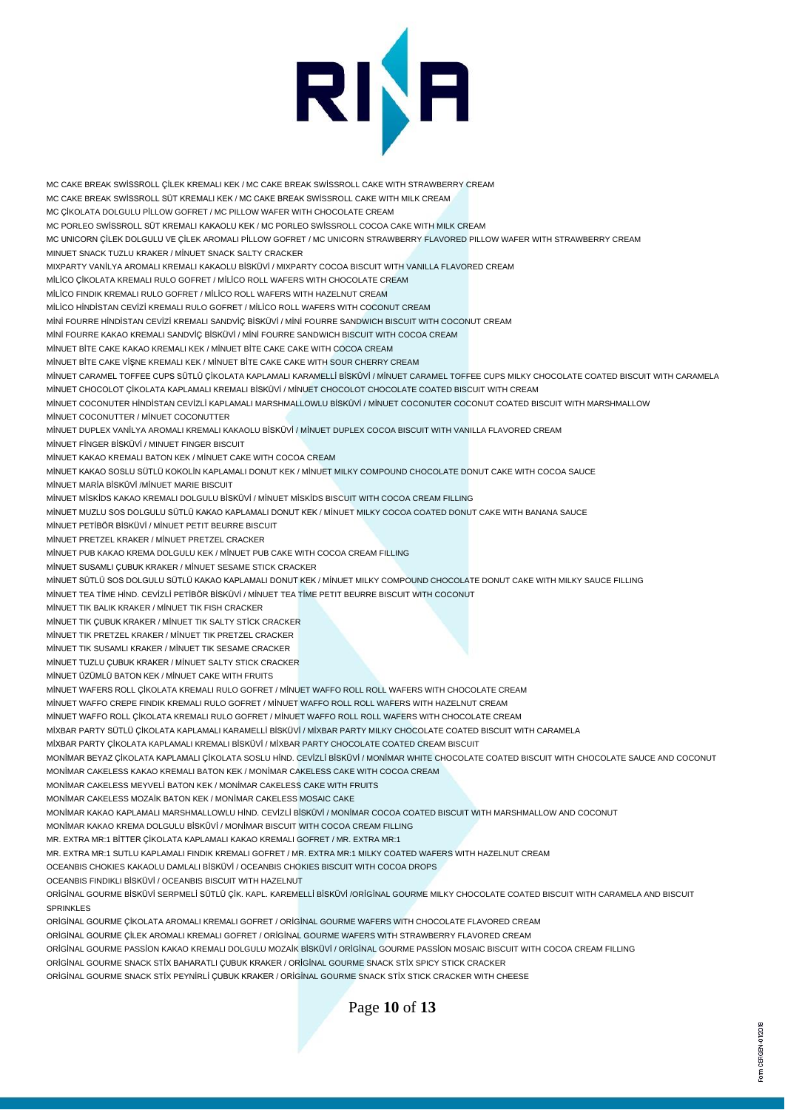

MC CAKE BREAK SWİSSROLL ÇİLEK KREMALI KEK / MC CAKE BREAK SWİSSROLL CAKE WITH STRAWBERRY CREAM MC CAKE BREAK SWİSSROLL SÜT KREMALI KEK / MC CAKE BREAK SWİSSROLL CAKE WITH MILK CREAM MC ÇİKOLATA DOLGULU PİLLOW GOFRET / MC PILLOW WAFER WITH CHOCOLATE CREAM MC PORLEO SWİSSROLL SÜT KREMALI KAKAOLU KEK / MC PORLEO SWİSSROLL COCOA CAKE WITH MILK CREAM MC UNICORN ÇİLEK DOLGULU VE ÇİLEK AROMALI PİLLOW GOFRET / MC UNICORN STRAWBERRY FLAVORED PILLOW WAFER WITH STRAWBERRY CREAM MINUET SNACK TUZLU KRAKER / MİNUET SNACK SALTY CRACKER MIXPARTY VANİLYA AROMALI KREMALI KAKAOLU BİSKÜVİ / MIXPARTY COCOA BISCUIT WITH VANILLA FLAVORED CREAM MİLİCO ÇİKOLATA KREMALI RULO GOFRET / MİLİCO ROLL WAFERS WITH CHOCOLATE CREAM MİLİCO FINDIK KREMALI RULO GOFRET / MİLİCO ROLL WAFERS WITH HAZELNUT CREAM MİLİCO HİNDİSTAN CEVİZİ KREMALI RULO GOFRET / MİLİCO ROLL WAFERS WITH COCONUT CREAM MİNİ FOURRE HİNDİSTAN CEVİZİ KREMALI SANDVİÇ BİSKÜVİ / MİNİ FOURRE SANDWICH BISCUIT WITH COCONUT CREAM MİNİ FOURRE KAKAO KREMALI SANDVİÇ BİSKÜVİ / MİNİ FOURRE SANDWICH BISCUIT WITH COCOA CREAM MİNUET BİTE CAKE KAKAO KREMALI KEK / MİNUET BİTE CAKE CAKE WITH COCOA CREAM MİNUET BİTE CAKE VİŞNE KREMALI KEK / MİNUET BİTE CAKE CAKE WITH SOUR CHERRY CREAM MİNUET CARAMEL TOFFEE CUPS SÜTLÜ ÇİKOLATA KAPLAMALI KARAMELLİ BİSKÜVİ / MİNUET CARAMEL TOFFEE CUPS MILKY CHOCOLATE COATED BISCUIT WITH CARAMELA MİNUET CHOCOLOT ÇİKOLATA KAPLAMALI KREMALI BİSKÜVİ / MİNUET CHOCOLOT CHOCOLATE COATED BISCUIT WITH CREAM MİNUET COCONUTER HİNDİSTAN CEVİZLİ KAPLAMALI MARSHMALLOWLU BİSKÜVİ / MİNUET COCONUTER COCONUT COATED BISCUIT WITH MARSHMALLOW MİNUET COCONUTTER / MİNUET COCONUTTER MİNUET DUPLEX VANİLYA AROMALI KREMALI KAKAOLU BİSKÜVİ / MİNUET DUPLEX COCOA BISCUIT WITH VANILLA FLAVORED CREAM MİNUET FİNGER BİSKÜVİ / MINUET FINGER BISCUIT MİNUET KAKAO KREMALI BATON KEK / MİNUET CAKE WITH COCOA CREAM MİNUET KAKAO SOSLU SÜTLÜ KOKOLİN KAPLAMALI DONUT KEK / MİNUET MILKY COMPOUND CHOCOLATE DONUT CAKE WITH COCOA SAUCE MİNUET MARİA BİSKÜVİ /MİNUET MARIE BISCUIT MİNUET MİSKİDS KAKAO KREMALI DOLGULU BİSKÜVİ / MİNUET MİSKİDS BISCUIT WITH COCOA CREAM FILLING MİNUET MUZLU SOS DOLGULU SÜTLÜ KAKAO KAPLAMALI DONUT KEK / MİNUET MILKY COCOA COATED DONUT CAKE WITH BANANA SAUCE MİNUET PETİBÖR BİSKÜVİ / MİNUET PETIT BEURRE BISCUIT MİNUET PRETZEL KRAKER / MİNUET PRETZEL CRACKER MİNUET PUB KAKAO KREMA DOLGULU KEK / MİNUET PUB CAKE WITH COCOA CREAM FILLING MİNUET SUSAMLI ÇUBUK KRAKER / MİNUET SESAME STICK CRACKER MİNUET SÜTLÜ SOS DOLGULU SÜTLÜ KAKAO KAPLAMALI DONUT KEK / MİNUET MILKY COMPOUND CHOCOLATE DONUT CAKE WITH MILKY SAUCE FILLING MİNUET TEA TİME HİND. CEVİZLİ PETİBÖR BİSKÜVİ / MİNUET TEA TİME PETIT BEURRE BISCUIT WITH COCONUT MİNUET TIK BALIK KRAKER / MİNUET TIK FISH CRACKER MİNUET TIK ÇUBUK KRAKER / MİNUET TIK SALTY STİCK CRACKER MİNUET TIK PRETZEL KRAKER / MİNUET TIK PRETZEL CRACKER MİNUET TIK SUSAMLI KRAKER / MİNUET TIK SESAME CRACKER MİNUET TUZLU ÇUBUK KRAKER / MİNUET SALTY STICK CRACKER MİNUET ÜZÜMLÜ BATON KEK / MİNUET CAKE WITH FRUITS MİNUET WAFERS ROLL ÇİKOLATA KREMALI RULO GOFRET / MİNUET WAFFO ROLL ROLL WAFERS WITH CHOCOLATE CREAM MİNUET WAFFO CREPE FINDIK KREMALI RULO GOFRET / MİNUET WAFFO ROLL ROLL WAFERS WITH HAZELNUT CREAM MİNUET WAFFO ROLL ÇİKOLATA KREMALI RULO GOFRET / MİNUET WAFFO ROLL ROLL WAFERS WITH CHOCOLATE CREAM MİXBAR PARTY SÜTLÜ ÇİKOLATA KAPLAMALI KARAMELLİ BİSKÜVİ / MİXBAR PARTY MILKY CHOCOLATE COATED BISCUIT WITH CARAMELA MİXBAR PARTY ÇİKOLATA KAPLAMALI KREMALI BİSKÜVİ / MİXBAR PARTY CHOCOLATE COATED CREAM BISCUIT MONİMAR BEYAZ ÇİKOLATA KAPLAMALI ÇİKOLATA SOSLU HİND. CEVİZLİ BİSKÜVİ / MONİMAR WHITE CHOCOLATE COATED BISCUIT WITH CHOCOLATE SAUCE AND COCONUT MONİMAR CAKELESS KAKAO KREMALI BATON KEK / MONİMAR CAKELESS CAKE WITH COCOA CREAM MONİMAR CAKELESS MEYVELİ BATON KEK / MONİMAR CAKELESS CAKE WITH FRUITS MONİMAR CAKELESS MOZAİK BATON KEK / MONİMAR CAKELESS MOSAIC CAKE MONİMAR KAKAO KAPLAMALI MARSHMALLOWLU HİND. CEVİZLİ BİSKÜVİ / MONİMAR COCOA COATED BISCUIT WITH MARSHMALLOW AND COCONUT MONİMAR KAKAO KREMA DOLGULU BİSKÜVİ / MONİMAR BISCUIT WITH COCOA CREAM FILLING MR. EXTRA MR:1 BİTTER ÇİKOLATA KAPLAMALI KAKAO KREMALI GOFRET / MR. EXTRA MR:1 MR. EXTRA MR:1 SUTLU KAPLAMALI FINDIK KREMALI GOFRET / MR. EXTRA MR:1 MILKY COATED WAFERS WITH HAZELNUT CREAM OCEANBIS CHOKIES KAKAOLU DAMLALI BİSKÜVİ / OCEANBIS CHOKIES BISCUIT WITH COCOA DROPS OCEANBIS FINDIKLI BİSKÜVİ / OCEANBIS BISCUIT WITH HAZELNUT ORİGİNAL GOURME BİSKÜVİ SERPMELİ SÜTLÜ ÇİK. KAPL. KAREMELLİ BİSKÜVİ /ORİGİNAL GOURME MILKY CHOCOLATE COATED BISCUIT WITH CARAMELA AND BISCUIT SPRINKLES ORİGİNAL GOURME ÇİKOLATA AROMALI KREMALI GOFRET / ORİGİNAL GOURME WAFERS WITH CHOCOLATE FLAVORED CREAM ORİGİNAL GOURME ÇİLEK AROMALI KREMALI GOFRET / ORİGİNAL GOURME WAFERS WITH STRAWBERRY FLAVORED CREAM

ORİGİNAL GOURME PASSİON KAKAO KREMALI DOLGULU MOZAİK BİSKÜVİ / ORİGİNAL GOURME PASSİON MOSAIC BISCUIT WITH COCOA CREAM FILLING

ORİGİNAL GOURME SNACK STİX BAHARATLI ÇUBUK KRAKER / ORİGİNAL GOURME SNACK STİX SPICY STICK CRACKER

ORİGİNAL GOURME SNACK STİX PEYNİRLİ ÇUBUK KRAKER / ORİGİNAL GOURME SNACK STİX STICK CRACKER WITH CHEESE

Page **10** of **13**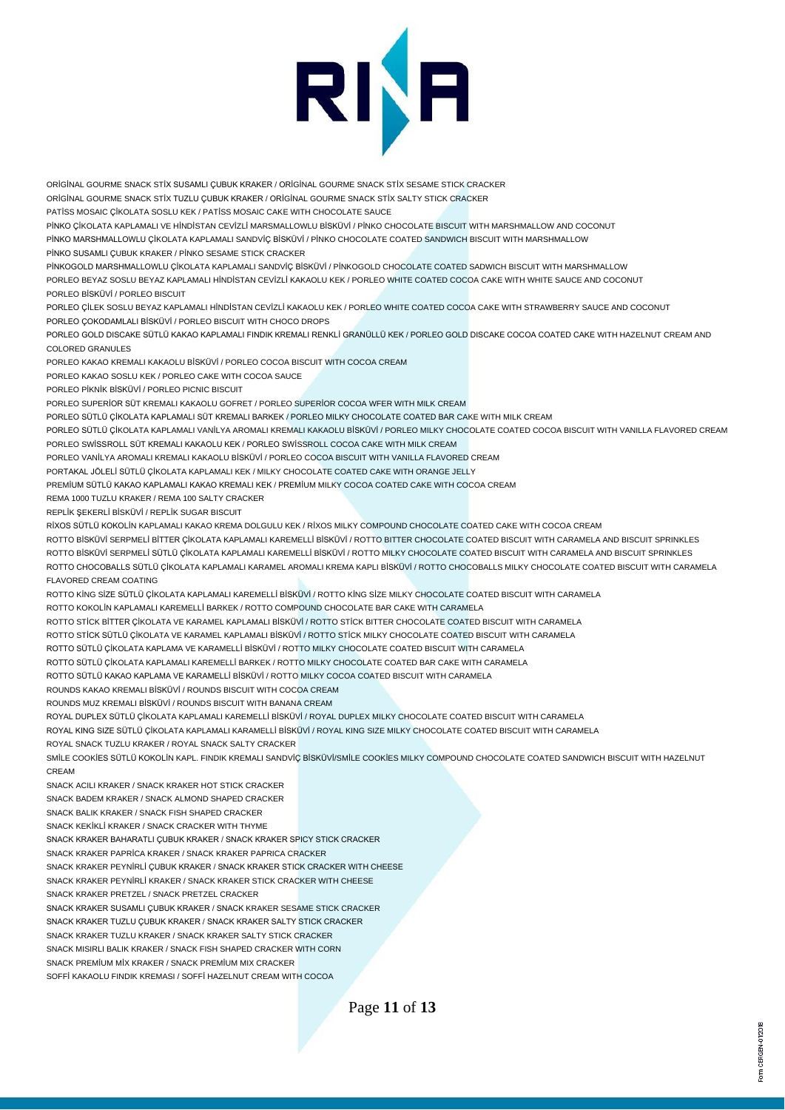

ORİGİNAL GOURME SNACK STİX SUSAMLI ÇUBUK KRAKER / ORİGİNAL GOURME SNACK STİX SESAME STICK CRACKER

ORİGİNAL GOURME SNACK STİX TUZLU ÇUBUK KRAKER / ORİGİNAL GOURME SNACK STİX SALTY STICK CRACKER

PATİSS MOSAIC ÇİKOLATA SOSLU KEK / PATİSS MOSAIC CAKE WITH CHOCOLATE SAUCE

PİNKO ÇİKOLATA KAPLAMALI VE HİNDİSTAN CEVİZLİ MARSMALLOWLU BİSKÜVİ / PİNKO CHOCOLATE BISCUIT WITH MARSHMALLOW AND COCONUT

PİNKO MARSHMALLOWLU ÇİKOLATA KAPLAMALI SANDVİÇ BİSKÜVİ / PİNKO CHOCOLATE COATED SANDWICH BISCUIT WITH MARSHMALLOW

PİNKO SUSAMLI ÇUBUK KRAKER / PİNKO SESAME STICK CRACKER

PİNKOGOLD MARSHMALLOWLU ÇİKOLATA KAPLAMALI SANDVİÇ BİSKÜVİ / PİNKOGOLD CHOCOLATE COATED SADWICH BISCUIT WITH MARSHMALLOW PORLEO BEYAZ SOSLU BEYAZ KAPLAMALI HİNDİSTAN CEVİZLİ KAKAOLU KEK / PORLEO WHITE COATED COCOA CAKE WITH WHITE SAUCE AND COCONUT PORLEO BİSKÜVİ / PORLEO BISCUIT

PORLEO ÇİLEK SOSLU BEYAZ KAPLAMALI HİNDİSTAN CEVİZLİ KAKAOLU KEK / PORLEO WHITE COATED COCOA CAKE WITH STRAWBERRY SAUCE AND COCONUT PORLEO ÇOKODAMLALI BİSKÜVİ / PORLEO BISCUIT WITH CHOCO DROPS

PORLEO GOLD DISCAKE SÜTLÜ KAKAO KAPLAMALI FINDIK KREMALI RENKLİ GRANÜLLÜ KEK / PORLEO GOLD DISCAKE COCOA COATED CAKE WITH HAZELNUT CREAM AND COLORED GRANULES

PORLEO KAKAO KREMALI KAKAOLU BİSKÜVİ / PORLEO COCOA BISCUIT WITH COCOA CREAM

PORLEO KAKAO SOSLU KEK / PORLEO CAKE WITH COCOA SAUCE

PORLEO PİKNİK BİSKÜVİ / PORLEO PICNIC BISCUIT

PORLEO SUPERİOR SÜT KREMALI KAKAOLU GOFRET / PORLEO SUPERİOR COCOA WFER WITH MILK CREAM

PORLEO SÜTLÜ ÇİKOLATA KAPLAMALI SÜT KREMALI BARKEK / PORLEO MILKY CHOCOLATE COATED BAR CAKE WITH MILK CREAM

PORLEO SÜTLÜ ÇİKOLATA KAPLAMALI VANİLYA AROMALI KREMALI KAKAOLU BİSKÜVİ / PORLEO MILKY CHOCOLATE COATED COCOA BISCUIT WITH VANILLA FLAVORED CREAM PORLEO SWİSSROLL SÜT KREMALI KAKAOLU KEK / PORLEO SWİSSROLL COCOA CAKE WITH MILK CREAM

PORLEO VANİLYA AROMALI KREMALI KAKAOLU BİSKÜVİ / PORLEO COCOA BISCUIT WITH VANILLA FLAVORED CREAM

PORTAKAL JÖLELİ SÜTLÜ ÇİKOLATA KAPLAMALI KEK / MILKY CHOCOLATE COATED CAKE WITH ORANGE JELLY

PREMİUM SÜTLÜ KAKAO KAPLAMALI KAKAO KREMALI KEK / PREMİUM MILKY COCOA COATED CAKE WITH COCOA CREAM

REMA 1000 TUZLU KRAKER / REMA 100 SALTY CRACKER

REPLİK ŞEKERLİ BİSKÜVİ / REPLİK SUGAR BISCUIT

RİXOS SÜTLÜ KOKOLİN KAPLAMALI KAKAO KREMA DOLGULU KEK / RİXOS MILKY COMPOUND CHOCOLATE COATED CAKE WITH COCOA CREAM

ROTTO BİSKÜVİ SERPMELİ BİTTER ÇİKOLATA KAPLAMALI KAREMELLİ BİSKÜVİ / ROTTO BITTER CHOCOLATE COATED BISCUIT WITH CARAMELA AND BISCUIT SPRINKLES

ROTTO BİSKÜVİ SERPMELİ SÜTLÜ ÇİKOLATA KAPLAMALI KAREMELLİ BİSKÜVİ / ROTTO MILKY CHOCOLATE COATED BISCUIT WITH CARAMELA AND BISCUIT SPRINKLES ROTTO CHOCOBALLS SÜTLÜ ÇİKOLATA KAPLAMALI KARAMEL AROMALI KREMA KAPLI BİSKÜVİ / ROTTO CHOCOBALLS MILKY CHOCOLATE COATED BISCUIT WITH CARAMELA FLAVORED CREAM COATING

ROTTO KİNG SİZE SÜTLÜ ÇİKOLATA KAPLAMALI KAREMELLİ BİSKÜVİ / ROTTO KİNG SİZE MILKY CHOCOLATE COATED BISCUIT WITH CARAMELA

ROTTO KOKOLİN KAPLAMALI KAREMELLİ BARKEK / ROTTO COMPOUND CHOCOLATE BAR CAKE WITH CARAMELA

ROTTO STİCK BİTTER ÇİKOLATA VE KARAMEL KAPLAMALI BİSKÜVİ / ROTTO STİCK BITTER CHOCOLATE COATED BISCUIT WITH CARAMELA

ROTTO STİCK SÜTLÜ ÇİKOLATA VE KARAMEL KAPLAMALI BİSKÜVİ / ROTTO STİCK MILKY CHOCOLATE COATED BISCUIT WITH CARAMELA

ROTTO SÜTLÜ ÇİKOLATA KAPLAMA VE KARAMELLİ BİSKÜVİ / ROTTO MILKY CHOCOLATE COATED BISCUIT WITH CARAMELA

ROTTO SÜTLÜ ÇİKOLATA KAPLAMALI KAREMELLİ BARKEK / ROTTO MILKY CHOCOLATE COATED BAR CAKE WITH CARAMELA

ROTTO SÜTLÜ KAKAO KAPLAMA VE KARAMELLİ BİSKÜVİ / ROTTO MILKY COCOA COATED BISCUIT WITH CARAMELA

ROUNDS KAKAO KREMALI BİSKÜVİ / ROUNDS BISCUIT WITH COCOA CREAM

ROUNDS MUZ KREMALI BİSKÜVİ / ROUNDS BISCUIT WITH BANANA CREAM

ROYAL DUPLEX SÜTLÜ ÇİKOLATA KAPLAMALI KAREMELLİ BİSKÜVİ / ROYAL DUPLEX MILKY CHOCOLATE COATED BISCUIT WITH CARAMELA

ROYAL KING SIZE SÜTLÜ ÇİKOLATA KAPLAMALI KARAMELLİ BİSKÜVİ / ROYAL KING SIZE MILKY CHOCOLATE COATED BISCUIT WITH CARAMELA

ROYAL SNACK TUZLU KRAKER / ROYAL SNACK SALTY CRACKER

SMİLE COOKİES SÜTLÜ KOKOLİN KAPL. FINDIK KREMALI SANDVİÇ BİSKÜVİ/SMİLE COOKİES MILKY COMPOUND CHOCOLATE COATED SANDWICH BISCUIT WITH HAZELNUT CREAM

SNACK ACILI KRAKER / SNACK KRAKER HOT STICK CRACKER

SNACK BADEM KRAKER / SNACK ALMOND SHAPED CRACKER

SNACK BALIK KRAKER / SNACK FISH SHAPED CRACKER

SNACK KEKİKLİ KRAKER / SNACK CRACKER WITH THYME

SNACK KRAKER BAHARATLI ÇUBUK KRAKER / SNACK KRAKER SPICY STICK CRACKER

SNACK KRAKER PAPRİCA KRAKER / SNACK KRAKER PAPRICA CRACKER

SNACK KRAKER PEYNİRLİ ÇUBUK KRAKER / SNACK KRAKER STICK CRACKER WITH CHEESE

SNACK KRAKER PEYNİRLİ KRAKER / SNACK KRAKER STICK CRACKER WITH CHEESE

SNACK KRAKER PRETZEL / SNACK PRETZEL CRACKER

SNACK KRAKER SUSAMLI ÇUBUK KRAKER / SNACK KRAKER SESAME STICK CRACKER

SNACK KRAKER TUZLU ÇUBUK KRAKER / SNACK KRAKER SALTY STICK CRACKER

SNACK KRAKER TUZLU KRAKER / SNACK KRAKER SALTY STICK CRACKER

SNACK MISIRLI BALIK KRAKER / SNACK FISH SHAPED CRACKER WITH CORN

SNACK PREMİUM MİX KRAKER / SNACK PREMİUM MIX CRACKER

SOFFİ KAKAOLU FINDIK KREMASI / SOFFİ HAZELNUT CREAM WITH COCOA

Page **11** of **13**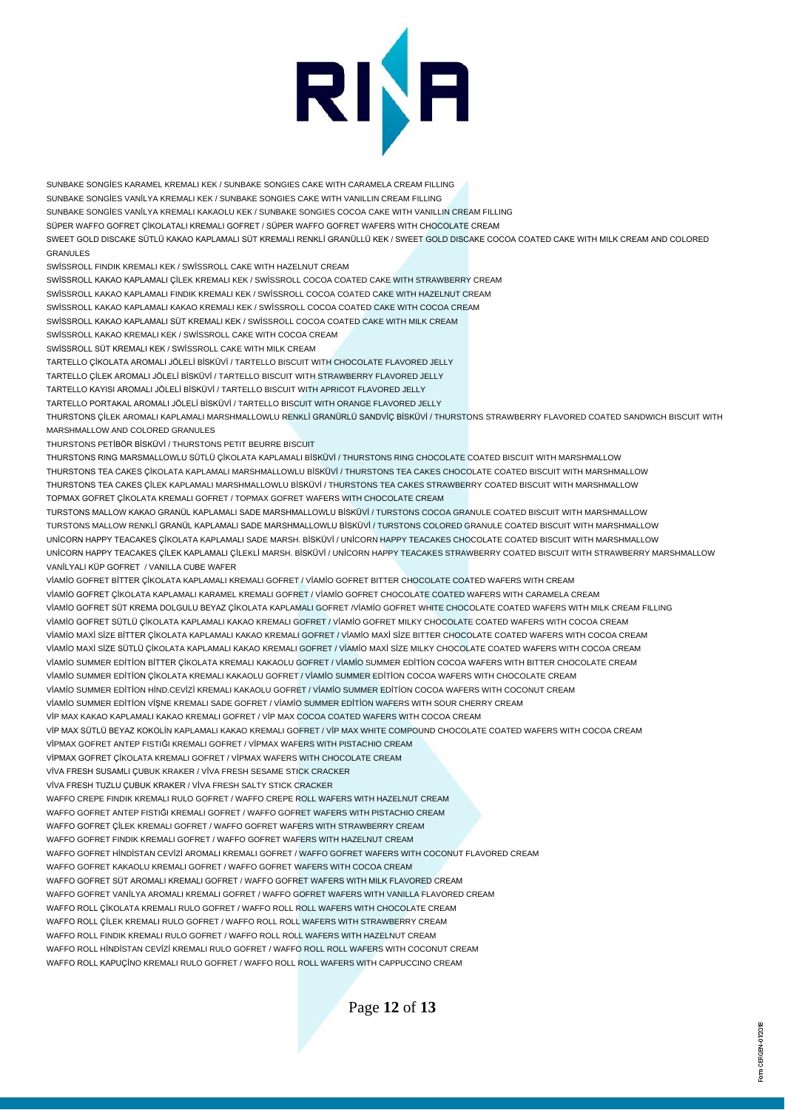

SUNBAKE SONGİES KARAMEL KREMALI KEK / SUNBAKE SONGIES CAKE WITH CARAMELA CREAM FILLING SUNBAKE SONGİES VANİLYA KREMALI KEK / SUNBAKE SONGIES CAKE WITH VANILLIN CREAM FILLING SUNBAKE SONGİES VANİLYA KREMALI KAKAOLU KEK / SUNBAKE SONGIES COCOA CAKE WITH VANILLIN CREAM FILLING SÜPER WAFFO GOFRET ÇİKOLATALI KREMALI GOFRET / SÜPER WAFFO GOFRET WAFERS WITH CHOCOLATE CREAM SWEET GOLD DISCAKE SÜTLÜ KAKAO KAPLAMALI SÜT KREMALI RENKLİ GRANÜLLÜ KEK / SWEET GOLD DISCAKE COCOA COATED CAKE WITH MILK CREAM AND COLORED GRANULES SWİSSROLL FINDIK KREMALI KEK / SWİSSROLL CAKE WITH HAZELNUT CREAM SWİSSROLL KAKAO KAPLAMALI ÇİLEK KREMALI KEK / SWİSSROLL COCOA COATED CAKE WITH STRAWBERRY CREAM SWİSSROLL KAKAO KAPLAMALI FINDIK KREMALI KEK / SWİSSROLL COCOA COATED CAKE WITH HAZELNUT CREAM SWİSSROLL KAKAO KAPLAMALI KAKAO KREMALI KEK / SWİSSROLL COCOA COATED CAKE WITH COCOA CREAM SWİSSROLL KAKAO KAPLAMALI SÜT KREMALI KEK / SWİSSROLL COCOA COATED CAKE WITH MILK CREAM SWİSSROLL KAKAO KREMALI KEK / SWİSSROLL CAKE WITH COCOA CREAM SWİSSROLL SÜT KREMALI KEK / SWİSSROLL CAKE WITH MILK CREAM TARTELLO ÇİKOLATA AROMALI JÖLELİ BİSKÜVİ / TARTELLO BISCUIT WITH CHOCOLATE FLAVORED JELLY TARTELLO ÇİLEK AROMALI JÖLELİ BİSKÜVİ / TARTELLO BISCUIT WITH STRAWBERRY FLAVORED JELLY TARTELLO KAYISI AROMALI JÖLELİ BİSKÜVİ / TARTELLO BISCUIT WITH APRICOT FLAVORED JELLY TARTELLO PORTAKAL AROMALI JÖLELİ BİSKÜVİ / TARTELLO BISCUIT WITH ORANGE FLAVORED JELLY THURSTONS ÇİLEK AROMALI KAPLAMALI MARSHMALLOWLU RENKLİ GRANÜRLÜ SANDVİÇ BİSKÜVİ / THURSTONS STRAWBERRY FLAVORED COATED SANDWICH BISCUIT WITH MARSHMALLOW AND COLORED GRANULES THURSTONS PETİBÖR BİSKÜVİ / THURSTONS PETIT BEURRE BISCUIT THURSTONS RING MARSMALLOWLU SÜTLÜ ÇİKOLATA KAPLAMALI BİSKÜVİ / THURSTONS RING CHOCOLATE COATED BISCUIT WITH MARSHMALLOW THURSTONS TEA CAKES ÇİKOLATA KAPLAMALI MARSHMALLOWLU BİSKÜVİ / THURSTONS TEA CAKES CHOCOLATE COATED BISCUIT WITH MARSHMALLOW THURSTONS TEA CAKES ÇİLEK KAPLAMALI MARSHMALLOWLU BİSKÜVİ / THURSTONS TEA CAKES STRAWBERRY COATED BISCUIT WITH MARSHMALLOW TOPMAX GOFRET ÇİKOLATA KREMALI GOFRET / TOPMAX GOFRET WAFERS WITH CHOCOLATE CREAM TURSTONS MALLOW KAKAO GRANÜL KAPLAMALI SADE MARSHMALLOWLU BİSKÜVİ / TURSTONS COCOA GRANULE COATED BISCUIT WITH MARSHMALLOW TURSTONS MALLOW RENKLİ GRANÜL KAPLAMALI SADE MARSHMALLOWLU BİSKÜVİ / TURSTONS COLORED GRANULE COATED BISCUIT WITH MARSHMALLOW UNİCORN HAPPY TEACAKES ÇİKOLATA KAPLAMALI SADE MARSH. BİSKÜVİ / UNİCORN HAPPY TEACAKES CHOCOLATE COATED BISCUIT WITH MARSHMALLOW UNİCORN HAPPY TEACAKES ÇİLEK KAPLAMALI ÇİLEKLİ MARSH. BİSKÜVİ / UNİCORN HAPPY TEACAKES STRAWBERRY COATED BISCUIT WITH STRAWBERRY MARSHMALLOW VANİLYALI KÜP GOFRET / VANILLA CUBE WAFER VİAMİO GOFRET BİTTER ÇİKOLATA KAPLAMALI KREMALI GOFRET / VİAMİO GOFRET BITTER CHOCOLATE COATED WAFERS WITH CREAM VİAMİO GOFRET ÇİKOLATA KAPLAMALI KARAMEL KREMALI GOFRET / VİAMİO GOFRET CHOCOLATE COATED WAFERS WITH CARAMELA CREAM VİAMİO GOFRET SÜT KREMA DOLGULU BEYAZ ÇİKOLATA KAPLAMALI GOFRET /VİAMİO GOFRET WHITE CHOCOLATE COATED WAFERS WITH MILK CREAM FILLING VİAMİO GOFRET SÜTLÜ ÇİKOLATA KAPLAMALI KAKAO KREMALI GOFRET / VİAMİO GOFRET MILKY CHOCOLATE COATED WAFERS WITH COCOA CREAM VİAMİO MAXİ SİZE BİTTER ÇİKOLATA KAPLAMALI KAKAO KREMALI GOFRET / VİAMİO MAXİ SİZE BITTER CHOCOLATE COATED WAFERS WITH COCOA CREAM VİAMİO MAXİ SİZE SÜTLÜ ÇİKOLATA KAPLAMALI KAKAO KREMALI GOFRET / VİAMİO MAXİ SİZE MILKY CHOCOLATE COATED WAFERS WITH COCOA CREAM VİAMİO SUMMER EDİTİON BİTTER ÇİKOLATA KREMALI KAKAOLU GOFRET / VİAMİO SUMMER EDİTİON COCOA WAFERS WITH BITTER CHOCOLATE CREAM VİAMİO SUMMER EDİTİON ÇİKOLATA KREMALI KAKAOLU GOFRET / VİAMİO SUMMER EDİTİON COCOA WAFERS WITH CHOCOLATE CREAM VİAMİO SUMMER EDİTİON HİND.CEVİZİ KREMALI KAKAOLU GOFRET / VİAMİO SUMMER EDİTİON COCOA WAFERS WITH COCONUT CREAM VİAMİO SUMMER EDİTİON VİŞNE KREMALI SADE GOFRET / VİAMİO SUMMER EDİTİON WAFERS WITH SOUR CHERRY CREAM VİP MAX KAKAO KAPLAMALI KAKAO KREMALI GOFRET / VİP MAX COCOA COATED WAFERS WITH COCOA CREAM VİP MAX SÜTLÜ BEYAZ KOKOLİN KAPLAMALI KAKAO KREMALI GOFRET / VİP MAX WHITE COMPOUND CHOCOLATE COATED WAFERS WITH COCOA CREAM VİPMAX GOFRET ANTEP FISTIĞI KREMALI GOFRET / VİPMAX WAFERS WITH PISTACHIO CREAM VİPMAX GOFRET ÇİKOLATA KREMALI GOFRET / VİPMAX WAFERS WITH CHOCOLATE CREAM VİVA FRESH SUSAMLI ÇUBUK KRAKER / VİVA FRESH SESAME STICK CRACKER VİVA FRESH TUZLU ÇUBUK KRAKER / VİVA FRESH SALTY STICK CRACKER WAFFO CREPE FINDIK KREMALI RULO GOFRET / WAFFO CREPE ROLL WAFERS WITH HAZELNUT CREAM WAFFO GOFRET ANTEP FISTIĞI KREMALI GOFRET / WAFFO GOFRET WAFERS WITH PISTACHIO CREAM WAFFO GOFRET ÇİLEK KREMALI GOFRET / WAFFO GOFRET WAFERS WITH STRAWBERRY CREAM WAFFO GOFRET FINDIK KREMALI GOFRET / WAFFO GOFRET WAFERS WITH HAZELNUT CREAM WAFFO GOFRET HİNDİSTAN CEVİZİ AROMALI KREMALI GOFRET / WAFFO GOFRET WAFERS WITH COCONUT FLAVORED CREAM WAFFO GOFRET KAKAOLU KREMALI GOFRET / WAFFO GOFRET WAFERS WITH COCOA CREAM WAFFO GOFRET SÜT AROMALI KREMALI GOFRET / WAFFO GOFRET WAFERS WITH MILK FLAVORED CREAM WAFFO GOFRET VANİLYA AROMALI KREMALI GOFRET / WAFFO GOFRET WAFERS WITH VANILLA FLAVORED CREAM WAFFO ROLL ÇİKOLATA KREMALI RULO GOFRET / WAFFO ROLL ROLL WAFERS WITH CHOCOLATE CREAM WAFFO ROLL ÇİLEK KREMALI RULO GOFRET / WAFFO ROLL ROLL WAFERS WITH STRAWBERRY CREAM WAFFO ROLL FINDIK KREMALI RULO GOFRET / WAFFO ROLL ROLL WAFERS WITH HAZELNUT CREAM WAFFO ROLL HİNDİSTAN CEVİZİ KREMALI RULO GOFRET / WAFFO ROLL ROLL WAFERS WITH COCONUT CREAM WAFFO ROLL KAPUÇİNO KREMALI RULO GOFRET / WAFFO ROLL ROLL WAFERS WITH CAPPUCCINO CREAM

Page **12** of **13**